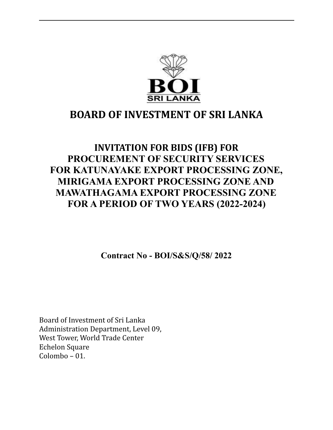

### **BOARD OF INVESTMENT OF SRI LANKA**

### **INVITATION FOR BIDS (IFB) FOR PROCUREMENT OF SECURITY SERVICES FOR KATUNAYAKE EXPORT PROCESSING ZONE, MIRIGAMA EXPORT PROCESSING ZONE AND MAWATHAGAMA EXPORT PROCESSING ZONE FOR A PERIOD OF TWO YEARS (2022-2024)**

**Contract No - BOI/S&S/Q/58/ 2022**

Board of Investment of Sri Lanka Administration Department, Level 09, West Tower, World Trade Center Echelon Square Colombo – 01.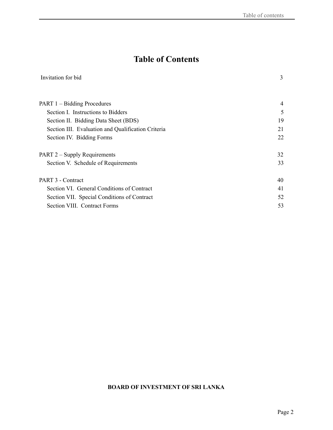### **Table of Contents**

| Invitation for bid | $\sim$ |
|--------------------|--------|
|                    |        |

| PART 1 – Bidding Procedures                        | $\overline{4}$ |
|----------------------------------------------------|----------------|
| Section I. Instructions to Bidders                 | 5              |
| Section II. Bidding Data Sheet (BDS)               | 19             |
| Section III. Evaluation and Qualification Criteria | 21             |
| Section IV. Bidding Forms                          | 22             |
| PART 2 – Supply Requirements                       | 32             |
| Section V. Schedule of Requirements                | 33             |
| PART 3 - Contract                                  | 40             |
| Section VI. General Conditions of Contract         | 41             |
| Section VII. Special Conditions of Contract        | 52             |
| Section VIII. Contract Forms                       | 53             |
|                                                    |                |

### **BOARD OF INVESTMENT OF SRI LANKA**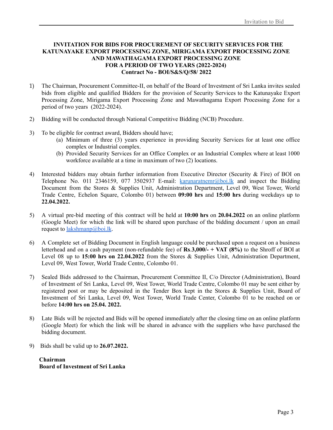#### **INVITATION FOR BIDS FOR PROCUREMENT OF SECURITY SERVICES FOR THE KATUNAYAKE EXPORT PROCESSING ZONE, MIRIGAMA EXPORT PROCESSING ZONE AND MAWATHAGAMA EXPORT PROCESSING ZONE FOR A PERIOD OF TWO YEARS (2022-2024) Contract No - BOI/S&S/Q/58/ 2022**

- 1) The Chairman, Procurement Committee-II, on behalf of the Board of Investment of Sri Lanka invites sealed bids from eligible and qualified Bidders for the provision of Security Services to the Katunayake Export Processing Zone, Mirigama Export Processing Zone and Mawathagama Export Processing Zone for a period of two years (2022-2024).
- 2) Bidding will be conducted through National Competitive Bidding (NCB) Procedure.
- 3) To be eligible for contract award, Bidders should have;
	- (a) Minimum of three (3) years experience in providing Security Services for at least one office complex or Industrial complex.
	- (b) Provided Security Services for an Office Complex or an Industrial Complex where at least 1000 workforce available at a time in maximum of two (2) locations.
- 4) Interested bidders may obtain further information from Executive Director (Security & Fire) of BOI on Telephone No. 011 2346159, 077 3502937 E-mail: karunaratnemr@boi.lk and inspect the Bidding Document from the Stores & Supplies Unit, Administration Department, Level 09, West Tower, World Trade Centre, Echelon Square, Colombo 01) between **09:00 hrs** and **15:00 hrs** during weekdays up to **22.04.2022.**
- 5) A virtual pre-bid meeting of this contract will be held at **10:00 hrs** on **20.04.2022** on an online platform (Google Meet) for which the link will be shared upon purchase of the bidding document / upon an email request to <u>[lakshmanp@boi.lk](mailto:lakshmanp@boi.lk)</u>.
- 6) A Complete set of Bidding Document in English language could be purchased upon a request on a business letterhead and on a cash payment (non-refundable fee) of **Rs**.**3,000/- + VAT (8%)** to the Shroff of BOI at Level 08 up to **15:00 hrs on 22.04.2022** from the Stores & Supplies Unit, Administration Department, Level 09, West Tower, World Trade Centre, Colombo 01.
- 7) Sealed Bids addressed to the Chairman, Procurement Committee II, C/o Director (Administration), Board of Investment of Sri Lanka, Level 09, West Tower, World Trade Centre, Colombo 01 may be sent either by registered post or may be deposited in the Tender Box kept in the Stores & Supplies Unit, Board of Investment of Sri Lanka, Level 09, West Tower, World Trade Center, Colombo 01 to be reached on or before **14:00 hrs on 25.04. 2022.**
- 8) Late Bids will be rejected and Bids will be opened immediately after the closing time on an online platform (Google Meet) for which the link will be shared in advance with the suppliers who have purchased the bidding document.
- 9) Bids shall be valid up to **26.07.2022.**

**Chairman Board of Investment of Sri Lanka**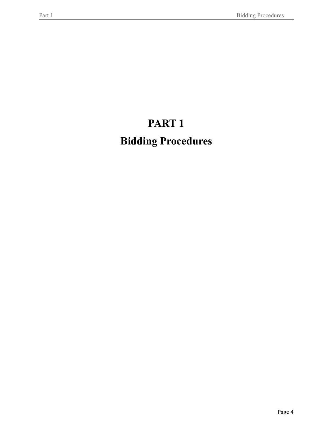## **PART 1**

# <span id="page-3-0"></span>**Bidding Procedures**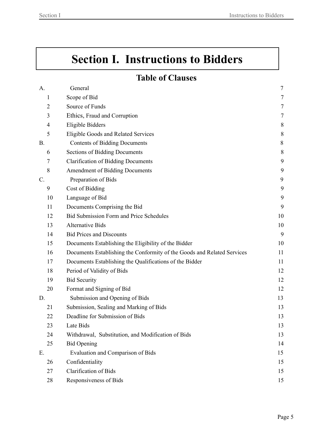# <span id="page-4-0"></span>**Section I. Instructions to Bidders**

### **Table of Clauses**

| A.              | General                                                                 | $\tau$ |
|-----------------|-------------------------------------------------------------------------|--------|
| 1               | Scope of Bid                                                            | 7      |
| $\overline{c}$  | Source of Funds                                                         | $\tau$ |
| 3               | Ethics, Fraud and Corruption                                            | 7      |
| 4               | <b>Eligible Bidders</b>                                                 | 8      |
| 5               | Eligible Goods and Related Services                                     | 8      |
| <b>B.</b>       | <b>Contents of Bidding Documents</b>                                    | 8      |
| 6               | <b>Sections of Bidding Documents</b>                                    | 8      |
| 7               | <b>Clarification of Bidding Documents</b>                               | 9      |
| 8               | Amendment of Bidding Documents                                          | 9      |
| $\mathcal{C}$ . | Preparation of Bids                                                     | 9      |
| 9               | Cost of Bidding                                                         | 9      |
| 10              | Language of Bid                                                         | 9      |
| 11              | Documents Comprising the Bid                                            | 9      |
| 12              | <b>Bid Submission Form and Price Schedules</b>                          | 10     |
| 13              | <b>Alternative Bids</b>                                                 | 10     |
| 14              | <b>Bid Prices and Discounts</b>                                         | 9      |
| 15              | Documents Establishing the Eligibility of the Bidder                    | 10     |
| 16              | Documents Establishing the Conformity of the Goods and Related Services | 11     |
| 17              | Documents Establishing the Qualifications of the Bidder                 | 11     |
| 18              | Period of Validity of Bids                                              | 12     |
| 19              | <b>Bid Security</b>                                                     | 12     |
| 20              | Format and Signing of Bid                                               | 12     |
| D.              | Submission and Opening of Bids                                          | 13     |
| 21              | Submission, Sealing and Marking of Bids                                 | 13     |
| 22              | Deadline for Submission of Bids                                         | 13     |
| 23              | Late Bids                                                               | 13     |
| 24              | Withdrawal, Substitution, and Modification of Bids                      | 13     |
| 25              | <b>Bid Opening</b>                                                      | 14     |
| E.              | Evaluation and Comparison of Bids                                       | 15     |
| 26              | Confidentiality                                                         | 15     |
| 27              | <b>Clarification of Bids</b>                                            | 15     |
| 28              | Responsiveness of Bids                                                  | 15     |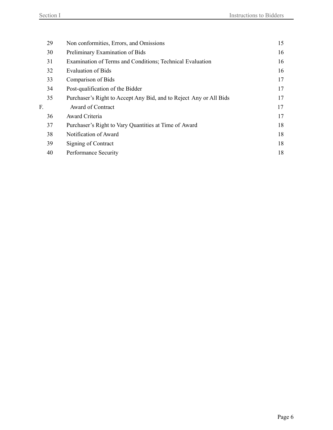| 29 | Non conformities, Errors, and Omissions                            | 15 |
|----|--------------------------------------------------------------------|----|
| 30 | Preliminary Examination of Bids                                    | 16 |
| 31 | Examination of Terms and Conditions; Technical Evaluation          | 16 |
| 32 | <b>Evaluation of Bids</b>                                          | 16 |
| 33 | Comparison of Bids                                                 | 17 |
| 34 | Post-qualification of the Bidder                                   | 17 |
| 35 | Purchaser's Right to Accept Any Bid, and to Reject Any or All Bids | 17 |
| F. | Award of Contract                                                  | 17 |
| 36 | Award Criteria                                                     | 17 |
| 37 | Purchaser's Right to Vary Quantities at Time of Award              | 18 |
| 38 | Notification of Award                                              | 18 |
| 39 | Signing of Contract                                                | 18 |
| 40 | Performance Security                                               | 18 |
|    |                                                                    |    |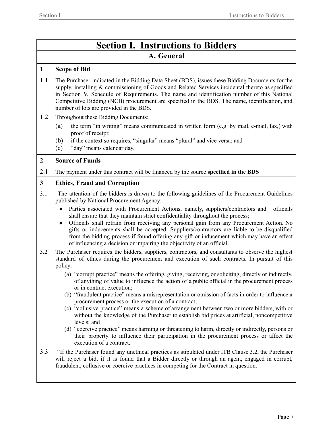### **Section I. Instructions to Bidders A. General**

#### <span id="page-6-1"></span><span id="page-6-0"></span>**1 Scope of Bid**

- 1.1 The Purchaser indicated in the Bidding Data Sheet (BDS), issues these Bidding Documents for the supply, installing & commissioning of Goods and Related Services incidental thereto as specified in Section V, Schedule of Requirements. The name and identification number of this National Competitive Bidding (NCB) procurement are specified in the BDS. The name, identification, and number of lots are provided in the BDS.
- 1.2 Throughout these Bidding Documents:
	- (a) the term "in writing" means communicated in written form (e.g. by mail, e-mail, fax,) with proof of receipt;
	- (b) if the context so requires, "singular" means "plural" and vice versa; and
	- (c) "day" means calendar day.

### <span id="page-6-2"></span>**2 Source of Funds**

2.1 The payment under this contract will be financed by the source **specified in the BDS**

### **3 Ethics, Fraud and Corruption**

- 3.1 The attention of the bidders is drawn to the following guidelines of the Procurement Guidelines published by National Procurement Agency:
	- Parties associated with Procurement Actions, namely, suppliers/contractors and officials shall ensure that they maintain strict confidentiality throughout the process;
	- Officials shall refrain from receiving any personal gain from any Procurement Action. No gifts or inducements shall be accepted. Suppliers/contractors are liable to be disqualified from the bidding process if found offering any gift or inducement which may have an effect of influencing a decision or impairing the objectivity of an official.
- 3.2 The Purchaser requires the bidders, suppliers, contractors, and consultants to observe the highest standard of ethics during the procurement and execution of such contracts. In pursuit of this policy:
	- (a) "corrupt practice" means the offering, giving, receiving, or soliciting, directly or indirectly, of anything of value to influence the action of a public official in the procurement process or in contract execution;
	- (b) "fraudulent practice" means a misrepresentation or omission of facts in order to influence a procurement process or the execution of a contract;
	- (c) "collusive practice" means a scheme of arrangement between two or more bidders, with or without the knowledge of the Purchaser to establish bid prices at artificial, noncompetitive levels; and
	- (d) "coercive practice" means harming or threatening to harm, directly or indirectly, persons or their property to influence their participation in the procurement process or affect the execution of a contract.
- 3.3 "If the Purchaser found any unethical practices as stipulated under ITB Clause 3.2, the Purchaser will reject a bid, if it is found that a Bidder directly or through an agent, engaged in corrupt, fraudulent, collusive or coercive practices in competing for the Contract in question.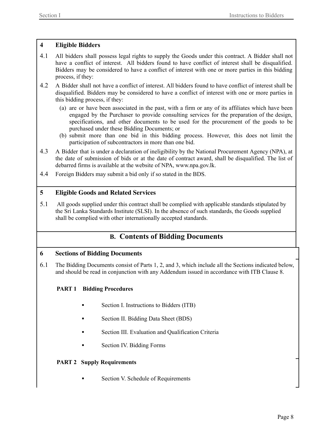### <span id="page-7-0"></span>**4 Eligible Bidders**

- 4.1 All bidders shall possess legal rights to supply the Goods under this contract. A Bidder shall not have a conflict of interest. All bidders found to have conflict of interest shall be disqualified. Bidders may be considered to have a conflict of interest with one or more parties in this bidding process, if they:
- 4.2 A Bidder shall not have a conflict of interest. All bidders found to have conflict of interest shall be disqualified. Bidders may be considered to have a conflict of interest with one or more parties in this bidding process, if they:
	- (a) are or have been associated in the past, with a firm or any of its affiliates which have been engaged by the Purchaser to provide consulting services for the preparation of the design, specifications, and other documents to be used for the procurement of the goods to be purchased under these Bidding Documents; or
	- (b) submit more than one bid in this bidding process. However, this does not limit the participation of subcontractors in more than one bid.
- 4.3 A Bidder that is under a declaration of ineligibility by the National Procurement Agency (NPA), at the date of submission of bids or at the date of contract award, shall be disqualified. The list of debarred firms is available at the website of NPA, www.npa.gov.lk.
- 4.4 Foreign Bidders may submit a bid only if so stated in the BDS.

### <span id="page-7-1"></span>**5 Eligible Goods and Related Services**

5.1 All goods supplied under this contract shall be complied with applicable standards stipulated by the Sri Lanka Standards Institute (SLSI). In the absence of such standards, the Goods supplied shall be complied with other internationally accepted standards.

### **B. Contents of Bidding Documents**

### <span id="page-7-3"></span><span id="page-7-2"></span>**6 Sections of Bidding Documents**

6.1 The Bidding Documents consist of Parts 1, 2, and 3, which include all the Sections indicated below, and should be read in conjunction with any Addendum issued in accordance with ITB Clause 8.

### **PART 1 Bidding Procedures**

- Section I. Instructions to Bidders (ITB)
- Section II. Bidding Data Sheet (BDS)
- Section III. Evaluation and Qualification Criteria
- Section IV. Bidding Forms

### **PART 2 Supply Requirements**

Section V. Schedule of Requirements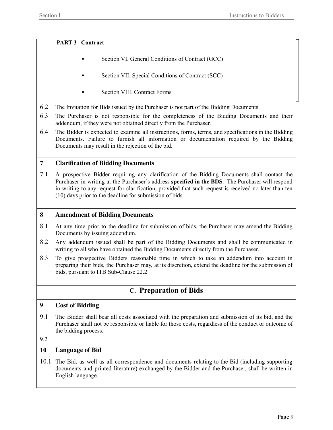### **PART 3 Contract**

- Section VI. General Conditions of Contract (GCC)
- Section VII. Special Conditions of Contract (SCC)
- **Section VIII. Contract Forms**
- 6.2 The Invitation for Bids issued by the Purchaser is not part of the Bidding Documents.
- 6.3 The Purchaser is not responsible for the completeness of the Bidding Documents and their addendum, if they were not obtained directly from the Purchaser.
- 6.4 The Bidder is expected to examine all instructions, forms, terms, and specifications in the Bidding Documents. Failure to furnish all information or documentation required by the Bidding Documents may result in the rejection of the bid.

### <span id="page-8-0"></span>**7 Clarification of Bidding Documents**

7.1 A prospective Bidder requiring any clarification of the Bidding Documents shall contact the Purchaser in writing at the Purchaser's address **specified in the BDS**. The Purchaser will respond in writing to any request for clarification, provided that such request is received no later than ten (10) days prior to the deadline for submission of bids.

### <span id="page-8-1"></span>**8 Amendment of Bidding Documents**

- 8.1 At any time prior to the deadline for submission of bids, the Purchaser may amend the Bidding Documents by issuing addendum.
- 8.2 Any addendum issued shall be part of the Bidding Documents and shall be communicated in writing to all who have obtained the Bidding Documents directly from the Purchaser.
- 8.3 To give prospective Bidders reasonable time in which to take an addendum into account in preparing their bids, the Purchaser may, at its discretion, extend the deadline for the submission of bids, pursuant to ITB Sub-Clause 22.2

### **C. Preparation of Bids**

### <span id="page-8-3"></span><span id="page-8-2"></span>**9 Cost of Bidding**

9.1 The Bidder shall bear all costs associated with the preparation and submission of its bid, and the Purchaser shall not be responsible or liable for those costs, regardless of the conduct or outcome of the bidding process.

### 9.2

### <span id="page-8-4"></span>**10 Language of Bid**

10.1 The Bid, as well as all correspondence and documents relating to the Bid (including supporting documents and printed literature) exchanged by the Bidder and the Purchaser, shall be written in English language.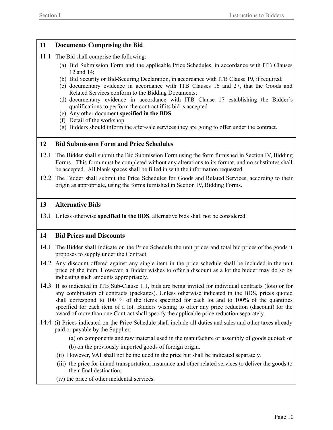### <span id="page-9-0"></span>**11 Documents Comprising the Bid**

- 11.1 The Bid shall comprise the following:
	- (a) Bid Submission Form and the applicable Price Schedules, in accordance with ITB Clauses 12 and 14;
	- (b) Bid Security or Bid-Securing Declaration, in accordance with ITB Clause 19, if required;
	- (c) documentary evidence in accordance with ITB Clauses 16 and 27, that the Goods and Related Services conform to the Bidding Documents;
	- (d) documentary evidence in accordance with ITB Clause 17 establishing the Bidder's qualifications to perform the contract if its bid is accepted
	- (e) Any other document **specified in the BDS**.
	- (f) Detail of the workshop
	- (g) Bidders should inform the after-sale services they are going to offer under the contract.

### <span id="page-9-1"></span>**12 Bid Submission Form and Price Schedules**

- 12.1 The Bidder shall submit the Bid Submission Form using the form furnished in Section IV, Bidding Forms. This form must be completed without any alterations to its format, and no substitutes shall be accepted. All blank spaces shall be filled in with the information requested.
- 12.2 The Bidder shall submit the Price Schedules for Goods and Related Services, according to their origin as appropriate, using the forms furnished in Section IV, Bidding Forms.

### <span id="page-9-2"></span>**13 Alternative Bids**

13.1 Unless otherwise **specified in the BDS**, alternative bids shall not be considered.

### <span id="page-9-3"></span>**14 Bid Prices and Discounts**

- 14.1 The Bidder shall indicate on the Price Schedule the unit prices and total bid prices of the goods it proposes to supply under the Contract.
- 14.2 Any discount offered against any single item in the price schedule shall be included in the unit price of the item. However, a Bidder wishes to offer a discount as a lot the bidder may do so by indicating such amounts appropriately.
- 14.3 If so indicated in ITB Sub-Clause 1.1, bids are being invited for individual contracts (lots) or for any combination of contracts (packages). Unless otherwise indicated in the BDS, prices quoted shall correspond to 100 % of the items specified for each lot and to 100% of the quantities specified for each item of a lot. Bidders wishing to offer any price reduction (discount) for the award of more than one Contract shall specify the applicable price reduction separately.
- 14.4 (i) Prices indicated on the Price Schedule shall include all duties and sales and other taxes already paid or payable by the Supplier:
	- (a) on components and raw material used in the manufacture or assembly of goods quoted; or
	- (b) on the previously imported goods of foreign origin.
	- (ii) However, VAT shall not be included in the price but shall be indicated separately.
	- (iii) the price for inland transportation, insurance and other related services to deliver the goods to their final destination;
	- (iv) the price of other incidental services.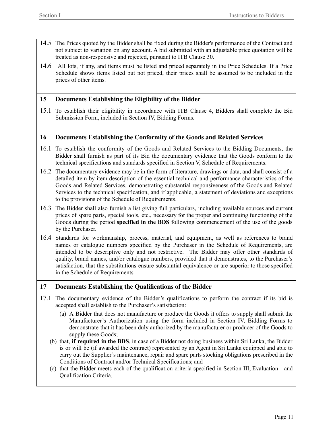- 14.5 The Prices quoted by the Bidder shall be fixed during the Bidder's performance of the Contract and not subject to variation on any account. A bid submitted with an adjustable price quotation will be treated as non-responsive and rejected, pursuant to ITB Clause 30.
- 14.6 All lots, if any, and items must be listed and priced separately in the Price Schedules. If a Price Schedule shows items listed but not priced, their prices shall be assumed to be included in the prices of other items.

### <span id="page-10-0"></span>**15 Documents Establishing the Eligibility of the Bidder**

15.1 To establish their eligibility in accordance with ITB Clause 4, Bidders shall complete the Bid Submission Form, included in Section IV, Bidding Forms.

### <span id="page-10-1"></span>**16 Documents Establishing the Conformity of the Goods and Related Services**

- 16.1 To establish the conformity of the Goods and Related Services to the Bidding Documents, the Bidder shall furnish as part of its Bid the documentary evidence that the Goods conform to the technical specifications and standards specified in Section V, Schedule of Requirements.
- 16.2 The documentary evidence may be in the form of literature, drawings or data, and shall consist of a detailed item by item description of the essential technical and performance characteristics of the Goods and Related Services, demonstrating substantial responsiveness of the Goods and Related Services to the technical specification, and if applicable, a statement of deviations and exceptions to the provisions of the Schedule of Requirements.
- 16.3 The Bidder shall also furnish a list giving full particulars, including available sources and current prices of spare parts, special tools, etc., necessary for the proper and continuing functioning of the Goods during the period **specified in the BDS** following commencement of the use of the goods by the Purchaser.
- 16.4 Standards for workmanship, process, material, and equipment, as well as references to brand names or catalogue numbers specified by the Purchaser in the Schedule of Requirements, are intended to be descriptive only and not restrictive. The Bidder may offer other standards of quality, brand names, and/or catalogue numbers, provided that it demonstrates, to the Purchaser's satisfaction, that the substitutions ensure substantial equivalence or are superior to those specified in the Schedule of Requirements.

### <span id="page-10-2"></span>**17 Documents Establishing the Qualifications of the Bidder**

- 17.1 The documentary evidence of the Bidder's qualifications to perform the contract if its bid is accepted shall establish to the Purchaser's satisfaction:
	- (a) A Bidder that does not manufacture or produce the Goods it offers to supply shall submit the Manufacturer's Authorization using the form included in Section IV, Bidding Forms to demonstrate that it has been duly authorized by the manufacturer or producer of the Goods to supply these Goods;
	- (b) that, **if required in the BDS**, in case of a Bidder not doing business within Sri Lanka, the Bidder is or will be (if awarded the contract) represented by an Agent in Sri Lanka equipped and able to carry out the Supplier's maintenance, repair and spare parts stocking obligations prescribed in the Conditions of Contract and/or Technical Specifications; and
	- (c) that the Bidder meets each of the qualification criteria specified in Section III, Evaluation and Qualification Criteria.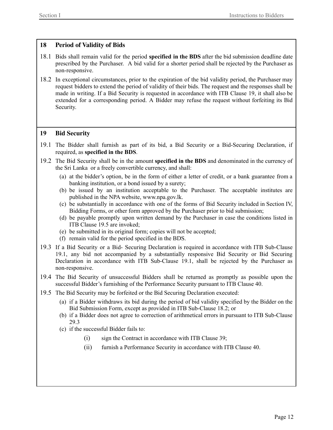### <span id="page-11-0"></span>**18 Period of Validity of Bids**

- 18.1 Bids shall remain valid for the period **specified in the BDS** after the bid submission deadline date prescribed by the Purchaser. A bid valid for a shorter period shall be rejected by the Purchaser as non-responsive.
- 18.2 In exceptional circumstances, prior to the expiration of the bid validity period, the Purchaser may request bidders to extend the period of validity of their bids. The request and the responses shall be made in writing. If a Bid Security is requested in accordance with ITB Clause 19, it shall also be extended for a corresponding period. A Bidder may refuse the request without forfeiting its Bid Security.

### <span id="page-11-1"></span>**19 Bid Security**

- 19.1 The Bidder shall furnish as part of its bid, a Bid Security or a Bid-Securing Declaration, if required, as **specified in the BDS**.
- 19.2 The Bid Security shall be in the amount **specified in the BDS** and denominated in the currency of the Sri Lanka or a freely convertible currency, and shall:
	- (a) at the bidder's option, be in the form of either a letter of credit, or a bank guarantee from a banking institution, or a bond issued by a surety;
	- (b) be issued by an institution acceptable to the Purchaser. The acceptable institutes are published in the NPA website, www.npa.gov.lk.
	- (c) be substantially in accordance with one of the forms of Bid Security included in Section IV, Bidding Forms, or other form approved by the Purchaser prior to bid submission;
	- (d) be payable promptly upon written demand by the Purchaser in case the conditions listed in ITB Clause 19.5 are invoked;
	- (e) be submitted in its original form; copies will not be accepted;
	- (f) remain valid for the period specified in the BDS.
- 19.3 If a Bid Security or a Bid- Securing Declaration is required in accordance with ITB Sub-Clause 19.1, any bid not accompanied by a substantially responsive Bid Security or Bid Securing Declaration in accordance with ITB Sub-Clause 19.1, shall be rejected by the Purchaser as non-responsive.
- 19.4 The Bid Security of unsuccessful Bidders shall be returned as promptly as possible upon the successful Bidder's furnishing of the Performance Security pursuant to ITB Clause 40.
- 19.5 The Bid Security may be forfeited or the Bid Securing Declaration executed:
	- (a) if a Bidder withdraws its bid during the period of bid validity specified by the Bidder on the Bid Submission Form, except as provided in ITB Sub-Clause 18.2; or
	- (b) if a Bidder does not agree to correction of arithmetical errors in pursuant to ITB Sub-Clause 29.3
	- (c) if the successful Bidder fails to:
		- (i) sign the Contract in accordance with ITB Clause 39;
		- (ii) furnish a Performance Security in accordance with ITB Clause 40.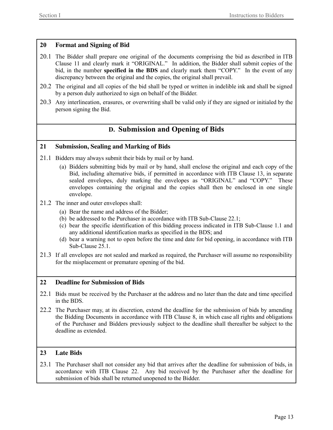### <span id="page-12-0"></span>**20 Format and Signing of Bid**

- 20.1 The Bidder shall prepare one original of the documents comprising the bid as described in ITB Clause 11 and clearly mark it "ORIGINAL." In addition, the Bidder shall submit copies of the bid, in the number **specified in the BDS** and clearly mark them "COPY." In the event of any discrepancy between the original and the copies, the original shall prevail.
- 20.2 The original and all copies of the bid shall be typed or written in indelible ink and shall be signed by a person duly authorized to sign on behalf of the Bidder.
- 20.3 Any interlineation, erasures, or overwriting shall be valid only if they are signed or initialed by the person signing the Bid.

### **D. Submission and Opening of Bids**

### <span id="page-12-2"></span><span id="page-12-1"></span>**21 Submission, Sealing and Marking of Bids**

- 21.1 Bidders may always submit their bids by mail or by hand.
	- (a) Bidders submitting bids by mail or by hand, shall enclose the original and each copy of the Bid, including alternative bids, if permitted in accordance with ITB Clause 13, in separate sealed envelopes, duly marking the envelopes as "ORIGINAL" and "COPY." These envelopes containing the original and the copies shall then be enclosed in one single envelope.
- 21.2 The inner and outer envelopes shall:
	- (a) Bear the name and address of the Bidder;
	- (b) be addressed to the Purchaser in accordance with ITB Sub-Clause 22.1;
	- (c) bear the specific identification of this bidding process indicated in ITB Sub-Clause 1.1 and any additional identification marks as specified in the BDS; and
	- (d) bear a warning not to open before the time and date for bid opening, in accordance with ITB Sub-Clause 25.1.
- 21.3 If all envelopes are not sealed and marked as required, the Purchaser will assume no responsibility for the misplacement or premature opening of the bid.

### <span id="page-12-3"></span>**22 Deadline for Submission of Bids**

- 22.1 Bids must be received by the Purchaser at the address and no later than the date and time specified in the BDS.
- 22.2 The Purchaser may, at its discretion, extend the deadline for the submission of bids by amending the Bidding Documents in accordance with ITB Clause 8, in which case all rights and obligations of the Purchaser and Bidders previously subject to the deadline shall thereafter be subject to the deadline as extended.

### <span id="page-12-4"></span>**23 Late Bids**

23.1 The Purchaser shall not consider any bid that arrives after the deadline for submission of bids, in accordance with ITB Clause 22. Any bid received by the Purchaser after the deadline for submission of bids shall be returned unopened to the Bidder.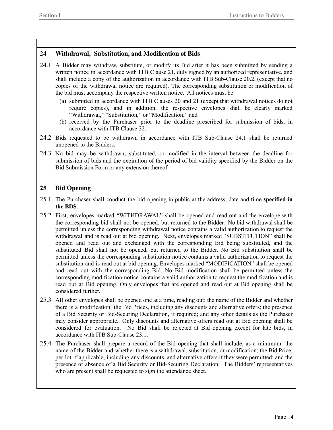### <span id="page-13-0"></span>**24 Withdrawal, Substitution, and Modification of Bids**

- 24.1 A Bidder may withdraw, substitute, or modify its Bid after it has been submitted by sending a written notice in accordance with ITB Clause 21, duly signed by an authorized representative, and shall include a copy of the authorization in accordance with ITB Sub-Clause 20.2, (except that no copies of the withdrawal notice are required). The corresponding substitution or modification of the bid must accompany the respective written notice. All notices must be:
	- (a) submitted in accordance with ITB Clauses 20 and 21 (except that withdrawal notices do not require copies), and in addition, the respective envelopes shall be clearly marked "Withdrawal," "Substitution," or "Modification;" and
	- (b) received by the Purchaser prior to the deadline prescribed for submission of bids, in accordance with ITB Clause 22.
- 24.2 Bids requested to be withdrawn in accordance with ITB Sub-Clause 24.1 shall be returned unopened to the Bidders.
- 24.3 No bid may be withdrawn, substituted, or modified in the interval between the deadline for submission of bids and the expiration of the period of bid validity specified by the Bidder on the Bid Submission Form or any extension thereof.

### <span id="page-13-1"></span>**25 Bid Opening**

- 25.1 The Purchaser shall conduct the bid opening in public at the address, date and time **specified in the BDS**.
- 25.2 First, envelopes marked "WITHDRAWAL" shall be opened and read out and the envelope with the corresponding bid shall not be opened, but returned to the Bidder. No bid withdrawal shall be permitted unless the corresponding withdrawal notice contains a valid authorization to request the withdrawal and is read out at bid opening. Next, envelopes marked "SUBSTITUTION" shall be opened and read out and exchanged with the corresponding Bid being substituted, and the substituted Bid shall not be opened, but returned to the Bidder. No Bid substitution shall be permitted unless the corresponding substitution notice contains a valid authorization to request the substitution and is read out at bid opening. Envelopes marked "MODIFICATION" shall be opened and read out with the corresponding Bid. No Bid modification shall be permitted unless the corresponding modification notice contains a valid authorization to request the modification and is read out at Bid opening. Only envelopes that are opened and read out at Bid opening shall be considered further.
- 25.3 All other envelopes shall be opened one at a time, reading out: the name of the Bidder and whether there is a modification; the Bid Prices, including any discounts and alternative offers; the presence of a Bid Security or Bid-Securing Declaration, if required; and any other details as the Purchaser may consider appropriate. Only discounts and alternative offers read out at Bid opening shall be considered for evaluation. No Bid shall be rejected at Bid opening except for late bids, in accordance with ITB Sub-Clause 23.1.
- 25.4 The Purchaser shall prepare a record of the Bid opening that shall include, as a minimum: the name of the Bidder and whether there is a withdrawal, substitution, or modification; the Bid Price, per lot if applicable, including any discounts, and alternative offers if they were permitted; and the presence or absence of a Bid Security or Bid-Securing Declaration. The Bidders' representatives who are present shall be requested to sign the attendance sheet.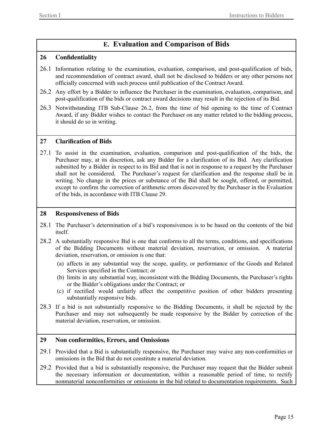### **E. Evaluation and Comparison of Bids**

### <span id="page-14-1"></span><span id="page-14-0"></span>**26 Confidentiality**

- 26.1 Information relating to the examination, evaluation, comparison, and post-qualification of bids, and recommendation of contract award, shall not be disclosed to bidders or any other persons not officially concerned with such process until publication of the Contract Award.
- 26.2 Any effort by a Bidder to influence the Purchaser in the examination, evaluation, comparison, and post-qualification of the bids or contract award decisions may result in the rejection of its Bid.
- 26.3 Notwithstanding ITB Sub-Clause 26.2, from the time of bid opening to the time of Contract Award, if any Bidder wishes to contact the Purchaser on any matter related to the bidding process, it should do so in writing.

### <span id="page-14-2"></span>**27 Clarification of Bids**

27.1 To assist in the examination, evaluation, comparison and post-qualification of the bids, the Purchaser may, at its discretion, ask any Bidder for a clarification of its Bid. Any clarification submitted by a Bidder in respect to its Bid and that is not in response to a request by the Purchaser shall not be considered. The Purchaser's request for clarification and the response shall be in writing. No change in the prices or substance of the Bid shall be sought, offered, or permitted, except to confirm the correction of arithmetic errors discovered by the Purchaser in the Evaluation of the bids, in accordance with ITB Clause 29.

### <span id="page-14-3"></span>**28 Responsiveness of Bids**

- 28.1 The Purchaser's determination of a bid's responsiveness is to be based on the contents of the bid itself.
- 28.2 A substantially responsive Bid is one that conforms to all the terms, conditions, and specifications of the Bidding Documents without material deviation, reservation, or omission. A material deviation, reservation, or omission is one that:
	- (a) affects in any substantial way the scope, quality, or performance of the Goods and Related Services specified in the Contract; or
	- (b) limits in any substantial way, inconsistent with the Bidding Documents, the Purchaser's rights or the Bidder's obligations under the Contract; or
	- (c) if rectified would unfairly affect the competitive position of other bidders presenting substantially responsive bids.
- 28.3 If a bid is not substantially responsive to the Bidding Documents, it shall be rejected by the Purchaser and may not subsequently be made responsive by the Bidder by correction of the material deviation, reservation, or omission.

### <span id="page-14-4"></span>**29 Non conformities, Errors, and Omissions**

- 29.1 Provided that a Bid is substantially responsive, the Purchaser may waive any non-conformities or omissions in the Bid that do not constitute a material deviation.
- 29.2 Provided that a bid is substantially responsive, the Purchaser may request that the Bidder submit the necessary information or documentation, within a reasonable period of time, to rectify nonmaterial nonconformities or omissions in the bid related to documentation requirements. Such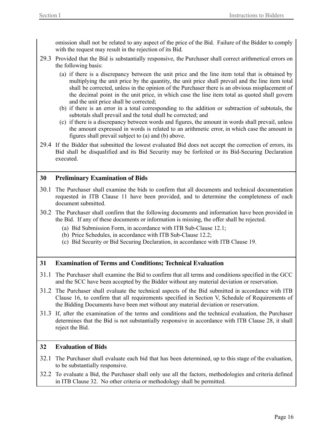omission shall not be related to any aspect of the price of the Bid. Failure of the Bidder to comply with the request may result in the rejection of its Bid.

- 29.3 Provided that the Bid is substantially responsive, the Purchaser shall correct arithmetical errors on the following basis:
	- (a) if there is a discrepancy between the unit price and the line item total that is obtained by multiplying the unit price by the quantity, the unit price shall prevail and the line item total shall be corrected, unless in the opinion of the Purchaser there is an obvious misplacement of the decimal point in the unit price, in which case the line item total as quoted shall govern and the unit price shall be corrected;
	- (b) if there is an error in a total corresponding to the addition or subtraction of subtotals, the subtotals shall prevail and the total shall be corrected; and
	- (c) if there is a discrepancy between words and figures, the amount in words shall prevail, unless the amount expressed in words is related to an arithmetic error, in which case the amount in figures shall prevail subject to (a) and (b) above.
- 29.4 If the Bidder that submitted the lowest evaluated Bid does not accept the correction of errors, its Bid shall be disqualified and its Bid Security may be forfeited or its Bid-Securing Declaration executed.

### <span id="page-15-0"></span>**30 Preliminary Examination of Bids**

- 30.1 The Purchaser shall examine the bids to confirm that all documents and technical documentation requested in ITB Clause 11 have been provided, and to determine the completeness of each document submitted.
- 30.2 The Purchaser shall confirm that the following documents and information have been provided in the Bid. If any of these documents or information is missing, the offer shall be rejected.
	- (a) Bid Submission Form, in accordance with ITB Sub-Clause 12.1;
	- (b) Price Schedules, in accordance with ITB Sub-Clause 12.2;
	- (c) Bid Security or Bid Securing Declaration, in accordance with ITB Clause 19.

### <span id="page-15-1"></span>**31 Examination of Terms and Conditions; Technical Evaluation**

- 31.1 The Purchaser shall examine the Bid to confirm that all terms and conditions specified in the GCC and the SCC have been accepted by the Bidder without any material deviation or reservation.
- 31.2 The Purchaser shall evaluate the technical aspects of the Bid submitted in accordance with ITB Clause 16, to confirm that all requirements specified in Section V, Schedule of Requirements of the Bidding Documents have been met without any material deviation or reservation.
- 31.3 If, after the examination of the terms and conditions and the technical evaluation, the Purchaser determines that the Bid is not substantially responsive in accordance with ITB Clause 28, it shall reject the Bid.

### <span id="page-15-2"></span>**32 Evaluation of Bids**

- 32.1 The Purchaser shall evaluate each bid that has been determined, up to this stage of the evaluation, to be substantially responsive.
- 32.2 To evaluate a Bid, the Purchaser shall only use all the factors, methodologies and criteria defined in ITB Clause 32. No other criteria or methodology shall be permitted.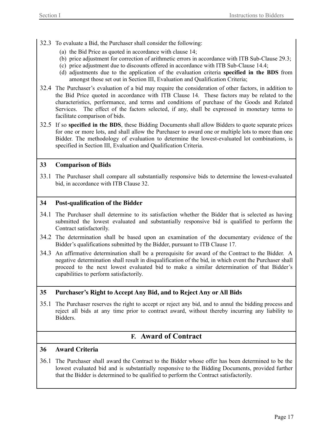- 32.3 To evaluate a Bid, the Purchaser shall consider the following:
	- (a) the Bid Price as quoted in accordance with clause 14;
	- (b) price adjustment for correction of arithmetic errors in accordance with ITB Sub-Clause 29.3;
	- (c) price adjustment due to discounts offered in accordance with ITB Sub-Clause 14.4;
	- (d) adjustments due to the application of the evaluation criteria **specified in the BDS** from amongst those set out in Section III, Evaluation and Qualification Criteria;
- 32.4 The Purchaser's evaluation of a bid may require the consideration of other factors, in addition to the Bid Price quoted in accordance with ITB Clause 14. These factors may be related to the characteristics, performance, and terms and conditions of purchase of the Goods and Related Services. The effect of the factors selected, if any, shall be expressed in monetary terms to facilitate comparison of bids.
- 32.5 If so **specified in the BDS**, these Bidding Documents shall allow Bidders to quote separate prices for one or more lots, and shall allow the Purchaser to award one or multiple lots to more than one Bidder. The methodology of evaluation to determine the lowest-evaluated lot combinations, is specified in Section III, Evaluation and Qualification Criteria.

### <span id="page-16-0"></span>**33 Comparison of Bids**

33.1 The Purchaser shall compare all substantially responsive bids to determine the lowest-evaluated bid, in accordance with ITB Clause 32.

### <span id="page-16-1"></span>**34 Post-qualification of the Bidder**

- 34.1 The Purchaser shall determine to its satisfaction whether the Bidder that is selected as having submitted the lowest evaluated and substantially responsive bid is qualified to perform the Contract satisfactorily.
- 34.2 The determination shall be based upon an examination of the documentary evidence of the Bidder's qualifications submitted by the Bidder, pursuant to ITB Clause 17.
- 34.3 An affirmative determination shall be a prerequisite for award of the Contract to the Bidder. A negative determination shall result in disqualification of the bid, in which event the Purchaser shall proceed to the next lowest evaluated bid to make a similar determination of that Bidder's capabilities to perform satisfactorily.

### <span id="page-16-2"></span>**35 Purchaser's Right to Accept Any Bid, and to Reject Any or All Bids**

35.1 The Purchaser reserves the right to accept or reject any bid, and to annul the bidding process and reject all bids at any time prior to contract award, without thereby incurring any liability to Bidders.

### **F. Award of Contract**

### <span id="page-16-4"></span><span id="page-16-3"></span>**36 Award Criteria**

36.1 The Purchaser shall award the Contract to the Bidder whose offer has been determined to be the lowest evaluated bid and is substantially responsive to the Bidding Documents, provided further that the Bidder is determined to be qualified to perform the Contract satisfactorily.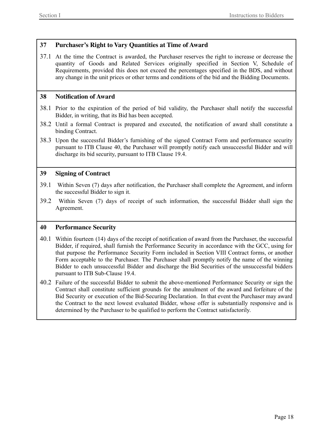### <span id="page-17-0"></span>**37 Purchaser's Right to Vary Quantities at Time of Award**

37.1 At the time the Contract is awarded, the Purchaser reserves the right to increase or decrease the quantity of Goods and Related Services originally specified in Section V, Schedule of Requirements, provided this does not exceed the percentages specified in the BDS, and without any change in the unit prices or other terms and conditions of the bid and the Bidding Documents.

### <span id="page-17-1"></span>**38 Notification of Award**

- 38.1 Prior to the expiration of the period of bid validity, the Purchaser shall notify the successful Bidder, in writing, that its Bid has been accepted.
- 38.2 Until a formal Contract is prepared and executed, the notification of award shall constitute a binding Contract.
- 38.3 Upon the successful Bidder's furnishing of the signed Contract Form and performance security pursuant to ITB Clause 40, the Purchaser will promptly notify each unsuccessful Bidder and will discharge its bid security, pursuant to ITB Clause 19.4.

### <span id="page-17-2"></span>**39 Signing of Contract**

- 39.1 Within Seven (7) days after notification, the Purchaser shall complete the Agreement, and inform the successful Bidder to sign it.
- 39.2 Within Seven (7) days of receipt of such information, the successful Bidder shall sign the Agreement.

### <span id="page-17-3"></span>**40 Performance Security**

- 40.1 Within fourteen (14) days of the receipt of notification of award from the Purchaser, the successful Bidder, if required, shall furnish the Performance Security in accordance with the GCC, using for that purpose the Performance Security Form included in Section VIII Contract forms, or another Form acceptable to the Purchaser. The Purchaser shall promptly notify the name of the winning Bidder to each unsuccessful Bidder and discharge the Bid Securities of the unsuccessful bidders pursuant to ITB Sub-Clause 19.4.
- 40.2 Failure of the successful Bidder to submit the above-mentioned Performance Security or sign the Contract shall constitute sufficient grounds for the annulment of the award and forfeiture of the Bid Security or execution of the Bid-Securing Declaration. In that event the Purchaser may award the Contract to the next lowest evaluated Bidder, whose offer is substantially responsive and is determined by the Purchaser to be qualified to perform the Contract satisfactorily.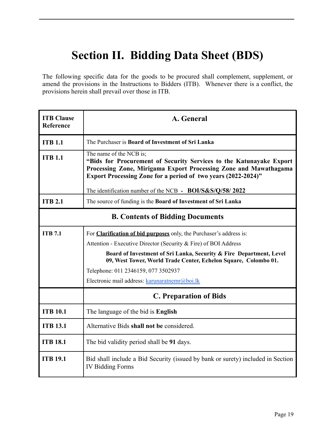# <span id="page-18-0"></span>**Section II. Bidding Data Sheet (BDS)**

The following specific data for the goods to be procured shall complement, supplement, or amend the provisions in the Instructions to Bidders (ITB). Whenever there is a conflict, the provisions herein shall prevail over those in ITB.

| <b>ITB Clause</b><br>Reference | A. General                                                                                                                                                                                                                                 |  |
|--------------------------------|--------------------------------------------------------------------------------------------------------------------------------------------------------------------------------------------------------------------------------------------|--|
| <b>ITB 1.1</b>                 | The Purchaser is Board of Investment of Sri Lanka                                                                                                                                                                                          |  |
| <b>ITB 1.1</b>                 | The name of the NCB is;<br>"Bids for Procurement of Security Services to the Katunayake Export<br>Processing Zone, Mirigama Export Processing Zone and Mawathagama<br><b>Export Processing Zone for a period of two years (2022-2024)"</b> |  |
|                                | The identification number of the NCB - BOI/S&S/Q/58/2022                                                                                                                                                                                   |  |
| <b>ITB 2.1</b>                 | The source of funding is the Board of Investment of Sri Lanka                                                                                                                                                                              |  |
|                                | <b>B. Contents of Bidding Documents</b>                                                                                                                                                                                                    |  |
| <b>ITB 7.1</b>                 | For <b>Clarification of bid purposes</b> only, the Purchaser's address is:                                                                                                                                                                 |  |
|                                | Attention - Executive Director (Security & Fire) of BOI Address                                                                                                                                                                            |  |
|                                | Board of Investment of Sri Lanka, Security & Fire Department, Level<br>09, West Tower, World Trade Center, Echelon Square, Colombo 01.                                                                                                     |  |
|                                | Telephone: 011 2346159, 077 3502937                                                                                                                                                                                                        |  |
|                                | Electronic mail address: karunaratnemr@boi.lk                                                                                                                                                                                              |  |
|                                | <b>C. Preparation of Bids</b>                                                                                                                                                                                                              |  |
| <b>ITB 10.1</b>                | The language of the bid is <b>English</b>                                                                                                                                                                                                  |  |
| <b>ITB 13.1</b>                | Alternative Bids shall not be considered.                                                                                                                                                                                                  |  |
| <b>ITB 18.1</b>                | The bid validity period shall be 91 days.                                                                                                                                                                                                  |  |
| <b>ITB 19.1</b>                | Bid shall include a Bid Security (issued by bank or surety) included in Section<br><b>IV Bidding Forms</b>                                                                                                                                 |  |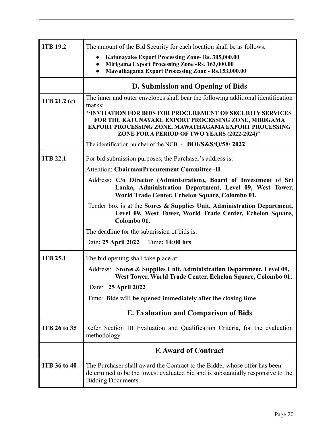| <b>ITB 19.2</b>     | The amount of the Bid Security for each location shall be as follows;                                                                                                                                                    |  |  |  |
|---------------------|--------------------------------------------------------------------------------------------------------------------------------------------------------------------------------------------------------------------------|--|--|--|
|                     | Katunayake Export Processing Zone- Rs. 305,000.00                                                                                                                                                                        |  |  |  |
|                     | Mirigama Export Processing Zone -Rs. 163,000.00<br><b>Mawathagama Export Processing Zone - Rs.153,000.00</b>                                                                                                             |  |  |  |
|                     |                                                                                                                                                                                                                          |  |  |  |
|                     | D. Submission and Opening of Bids                                                                                                                                                                                        |  |  |  |
| ITB $21.2(c)$       | The inner and outer envelopes shall bear the following additional identification<br>marks:                                                                                                                               |  |  |  |
|                     | "INVITATION FOR BIDS FOR PROCUREMENT OF SECURITY SERVICES<br>FOR THE KATUNAYAKE EXPORT PROCESSING ZONE, MIRIGAMA<br>EXPORT PROCESSING ZONE, MAWATHAGAMA EXPORT PROCESSING<br>ZONE FOR A PERIOD OF TWO YEARS (2022-2024)" |  |  |  |
|                     | The identification number of the NCB - <b>BOI/S&amp;S/Q/58/2022</b>                                                                                                                                                      |  |  |  |
| <b>ITB 22.1</b>     | For bid submission purposes, the Purchaser's address is:                                                                                                                                                                 |  |  |  |
|                     | <b>Attention: ChairmanProcurement Committee -II</b>                                                                                                                                                                      |  |  |  |
|                     | Address: C/o Director (Administration), Board of Investment of Sri<br>Lanka, Administration Department, Level 09, West Tower,<br>World Trade Center, Echelon Square, Colombo 01.                                         |  |  |  |
|                     | Tender box is at the Stores & Supplies Unit, Administration Department,<br>Level 09, West Tower, World Trade Center, Echelon Square,<br>Colombo 01.                                                                      |  |  |  |
|                     | The deadline for the submission of bids is:                                                                                                                                                                              |  |  |  |
|                     | Time: 14:00 hrs<br>Date: 25 April 2022                                                                                                                                                                                   |  |  |  |
| <b>ITB 25.1</b>     | The bid opening shall take place at:                                                                                                                                                                                     |  |  |  |
|                     | Stores & Supplies Unit, Administration Department, Level 09,<br>Address:<br>West Tower, World Trade Center, Echelon Square, Colombo 01.                                                                                  |  |  |  |
|                     | Date: 25 April 2022                                                                                                                                                                                                      |  |  |  |
|                     | Time: Bids will be opened immediately after the closing time                                                                                                                                                             |  |  |  |
|                     | <b>E. Evaluation and Comparison of Bids</b>                                                                                                                                                                              |  |  |  |
| <b>ITB 26 to 35</b> | Refer Section III Evaluation and Qualification Criteria, for the evaluation<br>methodology                                                                                                                               |  |  |  |
|                     | <b>F. Award of Contract</b>                                                                                                                                                                                              |  |  |  |
| <b>ITB 36 to 40</b> | The Purchaser shall award the Contract to the Bidder whose offer has been<br>determined to be the lowest evaluated bid and is substantially responsive to the<br><b>Bidding Documents</b>                                |  |  |  |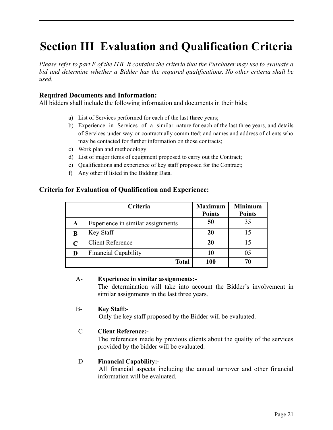# <span id="page-20-0"></span>**Section III Evaluation and Qualification Criteria**

Please refer to part E of the ITB. It contains the criteria that the Purchaser may use to evaluate a *bid and determine whether a Bidder has the required qualifications. No other criteria shall be used.*

### **Required Documents and Information:**

All bidders shall include the following information and documents in their bids;

- a) List of Services performed for each of the last **three** years;
- b) Experience in Services of a similar nature for each of the last three years, and details of Services under way or contractually committed; and names and address of clients who may be contacted for further information on those contracts;
- c) Work plan and methodology
- d) List of major items of equipment proposed to carry out the Contract;
- e) Qualifications and experience of key staff proposed for the Contract;
- f) Any other if listed in the Bidding Data.

### **Criteria for Evaluation of Qualification and Experience:**

|             | Criteria                          | <b>Maximum</b><br><b>Points</b> | <b>Minimum</b><br><b>Points</b> |
|-------------|-----------------------------------|---------------------------------|---------------------------------|
| A           | Experience in similar assignments | 50                              | 35                              |
| B           | Key Staff                         | 20                              | 15                              |
| $\mathbf C$ | <b>Client Reference</b>           | 20                              | 15                              |
| D           | <b>Financial Capability</b>       | 10                              | 05                              |
|             | <b>Total</b>                      | 100                             | 70                              |

### A- **Experience in similar assignments:-**

The determination will take into account the Bidder's involvement in similar assignments in the last three years.

### B- **Key Staff:-**

Only the key staff proposed by the Bidder will be evaluated.

### C- **Client Reference:-**

The references made by previous clients about the quality of the services provided by the bidder will be evaluated.

### D- **Financial Capability:-**

All financial aspects including the annual turnover and other financial information will be evaluated.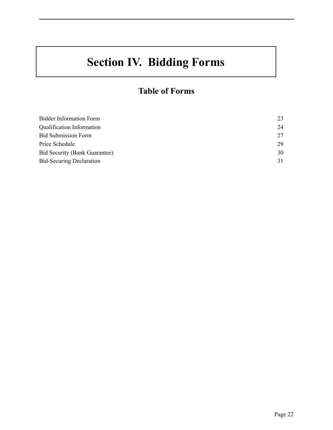# **Section IV. Bidding Forms**

### **Table of Forms**

| <b>Bidder Information Form</b>       | 23 |
|--------------------------------------|----|
| Qualification Information            | 24 |
| <b>Bid Submission Form</b>           | 27 |
| Price Schedule                       | 29 |
| <b>Bid Security (Bank Guarantee)</b> | 30 |
| <b>Bid-Securing Declaration</b>      | 31 |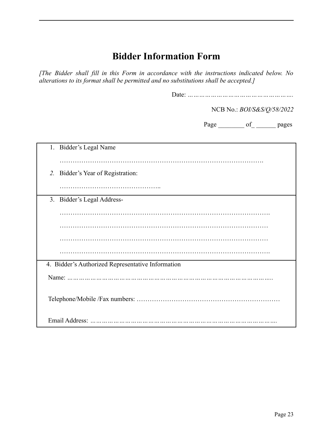### **Bidder Information Form**

*[The Bidder shall fill in this Form in accordance with the instructions indicated below. No alterations to its format shall be permitted and no substitutions shall be accepted.]*

Date: *……………………………………………….*

NCB No.: *BOI/S&S/Q/58/2022*

Page \_\_\_\_\_\_\_\_ of \_\_\_\_\_\_\_ pages

<span id="page-22-0"></span>

| Bidder's Legal Name<br>1.                         |
|---------------------------------------------------|
|                                                   |
| Bidder's Year of Registration:<br>2.              |
|                                                   |
| 3. Bidder's Legal Address-                        |
|                                                   |
|                                                   |
|                                                   |
|                                                   |
| 4. Bidder's Authorized Representative Information |
|                                                   |
|                                                   |
| Email Address:<br>                                |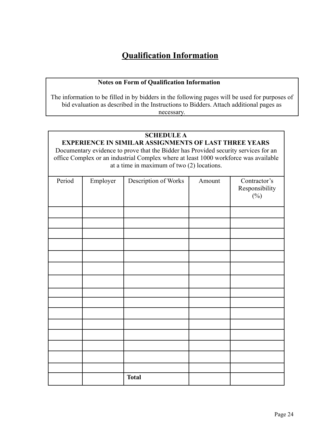### **Qualification Information**

### **Notes on Form of Qualification Information**

The information to be filled in by bidders in the following pages will be used for purposes of bid evaluation as described in the Instructions to Bidders. Attach additional pages as necessary.

#### **SCHEDULE A EXPERIENCE IN SIMILAR ASSIGNMENTS OF LAST THREE YEARS**

Documentary evidence to prove that the Bidder has Provided security services for an office Complex or an industrial Complex where at least 1000 workforce was available at a time in maximum of two (2) locations.

| Period | Employer | Description of Works | Amount | Contractor's             |
|--------|----------|----------------------|--------|--------------------------|
|        |          |                      |        | Responsibility<br>$(\%)$ |
|        |          |                      |        |                          |
|        |          |                      |        |                          |
|        |          |                      |        |                          |
|        |          |                      |        |                          |
|        |          |                      |        |                          |
|        |          |                      |        |                          |
|        |          |                      |        |                          |
|        |          |                      |        |                          |
|        |          |                      |        |                          |
|        |          |                      |        |                          |
|        |          |                      |        |                          |
|        |          |                      |        |                          |
|        |          |                      |        |                          |
|        |          |                      |        |                          |
|        |          |                      |        |                          |
|        |          |                      |        |                          |
|        |          | <b>Total</b>         |        |                          |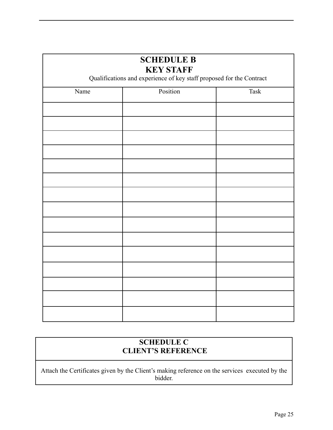| <b>SCHEDULE B</b><br><b>KEY STAFF</b><br>Qualifications and experience of key staff proposed for the Contract |          |             |  |
|---------------------------------------------------------------------------------------------------------------|----------|-------------|--|
| Name                                                                                                          | Position | <b>Task</b> |  |
|                                                                                                               |          |             |  |
|                                                                                                               |          |             |  |
|                                                                                                               |          |             |  |
|                                                                                                               |          |             |  |
|                                                                                                               |          |             |  |
|                                                                                                               |          |             |  |
|                                                                                                               |          |             |  |
|                                                                                                               |          |             |  |
|                                                                                                               |          |             |  |
|                                                                                                               |          |             |  |
|                                                                                                               |          |             |  |
|                                                                                                               |          |             |  |
|                                                                                                               |          |             |  |
|                                                                                                               |          |             |  |
|                                                                                                               |          |             |  |
|                                                                                                               |          |             |  |

### **SCHEDULE C CLIENT'S REFERENCE**

Attach the Certificates given by the Client's making reference on the services executed by the bidder.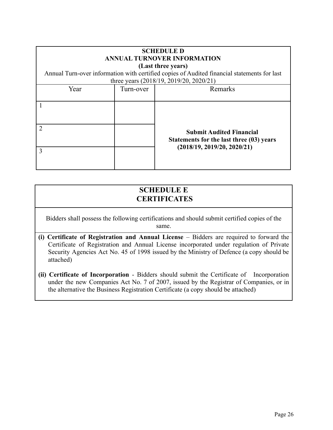| <b>SCHEDULE D</b><br><b>ANNUAL TURNOVER INFORMATION</b><br>(Last three years)<br>Annual Turn-over information with certified copies of Audited financial statements for last<br>three years (2018/19, 2019/20, 2020/21) |           |                                                                                                            |
|-------------------------------------------------------------------------------------------------------------------------------------------------------------------------------------------------------------------------|-----------|------------------------------------------------------------------------------------------------------------|
| Year                                                                                                                                                                                                                    | Turn-over | Remarks                                                                                                    |
|                                                                                                                                                                                                                         |           |                                                                                                            |
| $\mathcal{D}_{\mathcal{A}}$                                                                                                                                                                                             |           | <b>Submit Audited Financial</b><br>Statements for the last three (03) years<br>(2018/19, 2019/20, 2020/21) |
| 3                                                                                                                                                                                                                       |           |                                                                                                            |

### **SCHEDULE E CERTIFICATES**

Bidders shall possess the following certifications and should submit certified copies of the same.

- **(i) Certificate of Registration and Annual License** Bidders are required to forward the Certificate of Registration and Annual License incorporated under regulation of Private Security Agencies Act No. 45 of 1998 issued by the Ministry of Defence (a copy should be attached)
- **(ii) Certificate of Incorporation** Bidders should submit the Certificate of Incorporation under the new Companies Act No. 7 of 2007, issued by the Registrar of Companies, or in the alternative the Business Registration Certificate (a copy should be attached)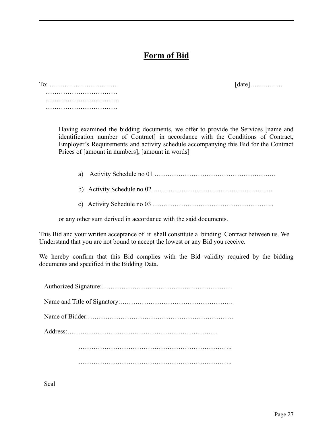### **Form of Bid**

| $To: \ldots \ldots \ldots \ldots \ldots \ldots \ldots \ldots \ldots$ |   |  |  |  |  |  |  |  |  |  |  |  |  |  |  |  |  |  |
|----------------------------------------------------------------------|---|--|--|--|--|--|--|--|--|--|--|--|--|--|--|--|--|--|
|                                                                      |   |  |  |  |  |  |  |  |  |  |  |  |  |  |  |  |  |  |
|                                                                      | . |  |  |  |  |  |  |  |  |  |  |  |  |  |  |  |  |  |
|                                                                      |   |  |  |  |  |  |  |  |  |  |  |  |  |  |  |  |  |  |

To: ………………………….. [date]……………

Having examined the bidding documents, we offer to provide the Services [name and identification number of Contract] in accordance with the Conditions of Contract, Employer's Requirements and activity schedule accompanying this Bid for the Contract Prices of [amount in numbers], [amount in words]

a) Activity Schedule no 01 ………………………………………………..

b) Activity Schedule no 02 ………………………………………………..

c) Activity Schedule no 03 ………………………………………………..

or any other sum derived in accordance with the said documents.

This Bid and your written acceptance of it shall constitute a binding Contract between us. We Understand that you are not bound to accept the lowest or any Bid you receive.

We hereby confirm that this Bid complies with the Bid validity required by the bidding documents and specified in the Bidding Data.

Seal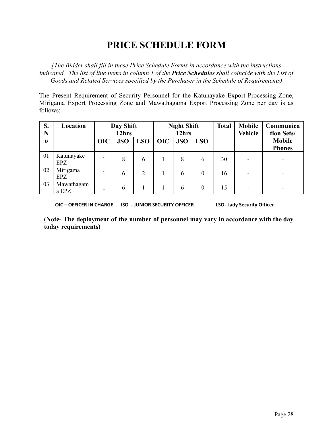### **PRICE SCHEDULE FORM**

*[The Bidder shall fill in these Price Schedule Forms in accordance with the instructions indicated. The list of line items in column 1 of the Price Schedules shall coincide with the List of Goods and Related Services specified by the Purchaser in the Schedule of Requirements)*

The Present Requirement of Security Personnel for the Katunayake Export Processing Zone, Mirigama Export Processing Zone and Mawathagama Export Processing Zone per day is as follows;

| S.<br>N     | Location            |            | Day Shift<br>12hrs |            |            | <b>Night Shift</b><br>12hrs |            | <b>Total</b> | <b>Mobile</b><br><b>Vehicle</b> | Communica<br>tion Sets/        |
|-------------|---------------------|------------|--------------------|------------|------------|-----------------------------|------------|--------------|---------------------------------|--------------------------------|
| $\mathbf 0$ |                     | <b>OIC</b> | <b>JSO</b>         | <b>LSO</b> | <b>OIC</b> | <b>JSO</b>                  | <b>LSO</b> |              |                                 | <b>Mobile</b><br><b>Phones</b> |
| 01          | Katunayake<br>EPZ   |            | 8                  | 6          |            | 8                           | 6          | 30           |                                 | -                              |
| 02          | Mirigama<br>EPZ     |            | 6                  | 2          |            | 6                           | $\theta$   | 16           |                                 |                                |
| 03          | Mawathagam<br>a EPZ |            | 6                  |            |            | 6                           | $\theta$   | 15           |                                 |                                |

**OIC – OFFICER IN CHARGE JSO - JUNIOR SECURITY OFFICER LSO- Lady Security Officer**

(**Note- The deployment of the number of personnel may vary in accordance with the day today requirements)**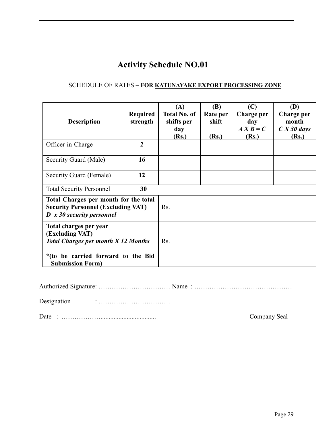### **Activity Schedule NO.01**

### SCHEDULE OF RATES – **FOR KATUNAYAKE EXPORT PROCESSING ZONE**

| <b>Description</b>                                                                      | <b>Required</b><br>strength                                                        | (A)<br><b>Total No. of</b><br>shifts per<br>day<br>(Rs.) | (B)<br>Rate per<br>shift<br>(Rs.) | (C)<br>Charge per<br>day<br>$\boldsymbol{A} \boldsymbol{X} \boldsymbol{B} = \boldsymbol{C}$<br>(Rs.) | (D)<br>Charge per<br>month<br>$\overline{CX}$ 30 days<br>(Rs.) |
|-----------------------------------------------------------------------------------------|------------------------------------------------------------------------------------|----------------------------------------------------------|-----------------------------------|------------------------------------------------------------------------------------------------------|----------------------------------------------------------------|
| Officer-in-Charge                                                                       | $\overline{2}$                                                                     |                                                          |                                   |                                                                                                      |                                                                |
| Security Guard (Male)                                                                   | 16                                                                                 |                                                          |                                   |                                                                                                      |                                                                |
| Security Guard (Female)                                                                 | 12                                                                                 |                                                          |                                   |                                                                                                      |                                                                |
| <b>Total Security Personnel</b>                                                         | 30                                                                                 |                                                          |                                   |                                                                                                      |                                                                |
| $D \times 30$ security personnel                                                        | Total Charges per month for the total<br><b>Security Personnel (Excluding VAT)</b> |                                                          |                                   |                                                                                                      |                                                                |
| Total charges per year<br>(Excluding VAT)<br><b>Total Charges per month X 12 Months</b> | Rs.                                                                                |                                                          |                                   |                                                                                                      |                                                                |
| *(to be carried forward to the Bid<br><b>Submission Form)</b>                           |                                                                                    |                                                          |                                   |                                                                                                      |                                                                |

| Designation |  |  |
|-------------|--|--|

Date : ……………….................................. Company Seal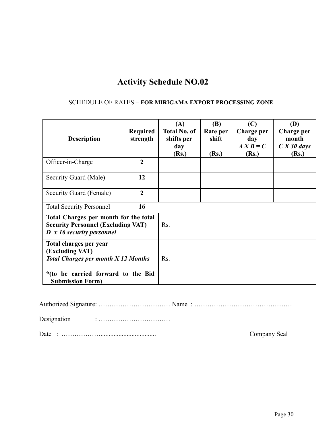### **Activity Schedule NO.02**

### SCHEDULE OF RATES – **FOR MIRIGAMA EXPORT PROCESSING ZONE**

| <b>Description</b>                                                                 | <b>Required</b><br>strength                                                        | (A)<br><b>Total No. of</b><br>shifts per<br>day<br>(Rs.) | (B)<br>Rate per<br>shift<br>(Rs.) | (C)<br>Charge per<br>day<br>$\boldsymbol{A} \boldsymbol{X} \boldsymbol{B} = \boldsymbol{C}$<br>(Rs.) | (D)<br>Charge per<br>month<br>$\overline{CX}$ 30 days<br>(Rs.) |
|------------------------------------------------------------------------------------|------------------------------------------------------------------------------------|----------------------------------------------------------|-----------------------------------|------------------------------------------------------------------------------------------------------|----------------------------------------------------------------|
| Officer-in-Charge                                                                  | $\mathbf{2}$                                                                       |                                                          |                                   |                                                                                                      |                                                                |
| Security Guard (Male)                                                              | 12                                                                                 |                                                          |                                   |                                                                                                      |                                                                |
| Security Guard (Female)                                                            | $\overline{2}$                                                                     |                                                          |                                   |                                                                                                      |                                                                |
| <b>Total Security Personnel</b>                                                    | 16                                                                                 |                                                          |                                   |                                                                                                      |                                                                |
| $D \times 16$ security personnel                                                   | Total Charges per month for the total<br><b>Security Personnel (Excluding VAT)</b> |                                                          |                                   |                                                                                                      |                                                                |
| Total charges per year<br>(Excluding VAT)<br>Total Charges per month $X$ 12 Months | Rs.                                                                                |                                                          |                                   |                                                                                                      |                                                                |
| *(to be carried forward to the Bid<br><b>Submission Form)</b>                      |                                                                                    |                                                          |                                   |                                                                                                      |                                                                |

Authorized Signature: …………………………… Name : ………………………………………

Designation : ……………………………

Date : ……………….................................. Company Seal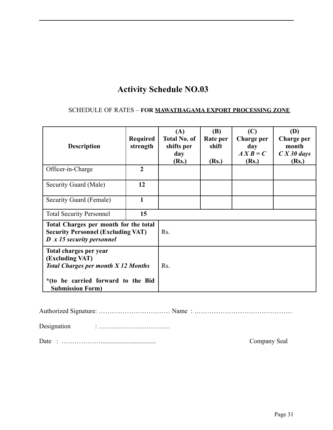### **Activity Schedule NO.03**

### SCHEDULE OF RATES – **FOR MAWATHAGAMA EXPORT PROCESSING ZONE**

| Required<br>strength                                                                                                                                     | (A)<br><b>Total No. of</b><br>shifts per<br>day<br>(Rs.) | (B)<br>Rate per<br>shift<br>(Rs.) | (C)<br>Charge per<br>day<br>$\boldsymbol{A} \boldsymbol{X} \boldsymbol{B} = \boldsymbol{C}$<br>(Rs.) | (D)<br>Charge per<br>month<br>$\overline{CX30}$ days<br>(Rs.) |
|----------------------------------------------------------------------------------------------------------------------------------------------------------|----------------------------------------------------------|-----------------------------------|------------------------------------------------------------------------------------------------------|---------------------------------------------------------------|
| $\overline{2}$                                                                                                                                           |                                                          |                                   |                                                                                                      |                                                               |
| 12                                                                                                                                                       |                                                          |                                   |                                                                                                      |                                                               |
| 1                                                                                                                                                        |                                                          |                                   |                                                                                                      |                                                               |
| 15                                                                                                                                                       |                                                          |                                   |                                                                                                      |                                                               |
| Total Charges per month for the total<br><b>Security Personnel (Excluding VAT)</b><br>$D \times 15$ security personnel                                   |                                                          |                                   |                                                                                                      |                                                               |
| Total charges per year<br>(Excluding VAT)<br><b>Total Charges per month X 12 Months</b><br>*(to be carried forward to the Bid<br><b>Submission Form)</b> |                                                          |                                   |                                                                                                      |                                                               |
|                                                                                                                                                          |                                                          | Rs.<br>Rs.                        |                                                                                                      |                                                               |

Authorized Signature: …………………………… Name : ………………………………………

Designation : ……………………………

Date : ……………….................................. Company Seal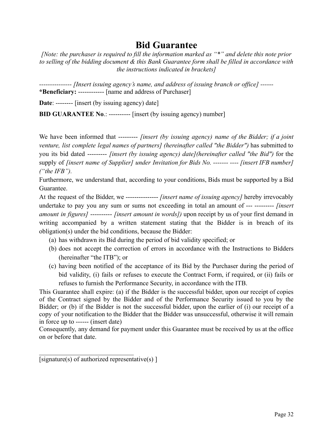### **Bid Guarantee**

*[Note: the purchaser is required to fill the information marked as "\*" and delete this note prior to selling of the bidding document & this Bank Guarantee form shall be filled in accordance with the instructions indicated in brackets]*

*--------------- [Insert issuing agency's name, and address of issuing branch or office] ------* **\*Beneficiary:** ------------ [name and address of Purchaser]

**Date**: -------- [insert (by issuing agency) date]

**BID GUARANTEE No**.: ---------- [insert (by issuing agency) number]

We have been informed that --------- *[insert (by issuing agency) name of the Bidder; if a joint venture, list complete legal names of partners] (hereinafter called "the Bidder")* has submitted to you its bid dated --------- *[insert (by issuing agency) date](hereinafter called "the Bid")* for the supply of *[insert name of Supplier] under Invitation for Bids No. ------- ---- [insert IFB number] ("the IFB").*

Furthermore, we understand that, according to your conditions, Bids must be supported by a Bid Guarantee.

At the request of the Bidder, we --------------- *[insert name of issuing agency]* hereby irrevocably undertake to pay you any sum or sums not exceeding in total an amount of --- --------- *[insert amount in figures]* ---------- *[insert amount in words])* upon receipt by us of your first demand in writing accompanied by a written statement stating that the Bidder is in breach of its obligation(s) under the bid conditions, because the Bidder:

- (a) has withdrawn its Bid during the period of bid validity specified; or
- (b) does not accept the correction of errors in accordance with the Instructions to Bidders (hereinafter "the ITB"); or
- (c) having been notified of the acceptance of its Bid by the Purchaser during the period of bid validity, (i) fails or refuses to execute the Contract Form, if required, or (ii) fails or refuses to furnish the Performance Security, in accordance with the ITB.

This Guarantee shall expire: (a) if the Bidder is the successful bidder, upon our receipt of copies of the Contract signed by the Bidder and of the Performance Security issued to you by the Bidder; or (b) if the Bidder is not the successful bidder, upon the earlier of (i) our receipt of a copy of your notification to the Bidder that the Bidder was unsuccessful, otherwise it will remain in force up to ------ (insert date)

Consequently, any demand for payment under this Guarantee must be received by us at the office on or before that date.

[signature(s) of authorized representative(s) ]

 $\mathcal{L}_\text{max}$  , where  $\mathcal{L}_\text{max}$  and  $\mathcal{L}_\text{max}$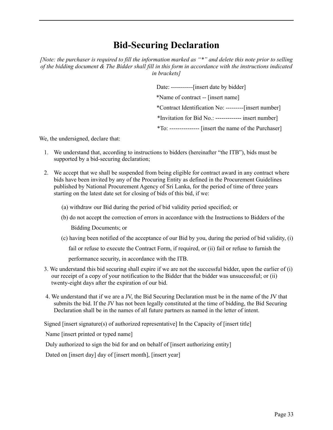### **Bid-Securing Declaration**

[Note: the purchaser is required to fill the information marked as "\*" and delete this note prior to selling of the bidding document  $\&$  The Bidder shall fill in this form in accordance with the instructions indicated *in brackets]*

> Date: -----------[insert date by bidder] \*Name of contract -- [insert name] \*Contract Identification No: ---------[insert number] \*Invitation for Bid No.: ------------- insert number] \*To: --------------- [insert the name of the Purchaser]

We, the undersigned, declare that:

- 1. We understand that, according to instructions to bidders (hereinafter "the ITB"), bids must be supported by a bid-securing declaration;
- 2. We accept that we shall be suspended from being eligible for contract award in any contract where bids have been invited by any of the Procuring Entity as defined in the Procurement Guidelines published by National Procurement Agency of Sri Lanka, for the period of time of three years starting on the latest date set for closing of bids of this bid, if we:
	- (a) withdraw our Bid during the period of bid validity period specified; or
	- (b) do not accept the correction of errors in accordance with the Instructions to Bidders of the Bidding Documents; or
	- (c) having been notified of the acceptance of our Bid by you, during the period of bid validity, (i)

fail or refuse to execute the Contract Form, if required, or (ii) fail or refuse to furnish the

performance security, in accordance with the ITB.

- 3. We understand this bid securing shall expire if we are not the successful bidder, upon the earlier of (i) our receipt of a copy of your notification to the Bidder that the bidder was unsuccessful; or (ii) twenty-eight days after the expiration of our bid.
- 4. We understand that if we are a JV, the Bid Securing Declaration must be in the name of the JV that submits the bid. If the JV has not been legally constituted at the time of bidding, the Bid Securing Declaration shall be in the names of all future partners as named in the letter of intent.

Signed [insert signature(s) of authorized representative] In the Capacity of [insert title]

Name [insert printed or typed name]

Duly authorized to sign the bid for and on behalf of [insert authorizing entity]

Dated on [insert day] day of [insert month], [insert year]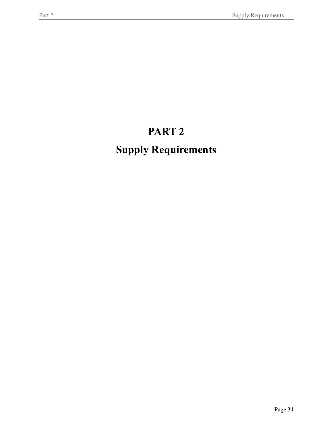# **PART 2**

# **Supply Requirements**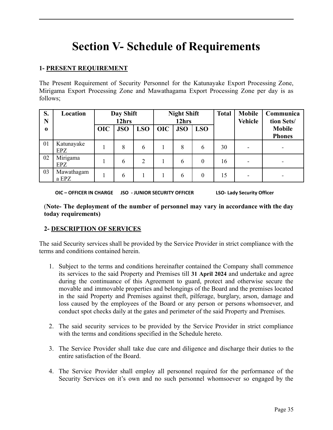# **Section V- Schedule of Requirements**

### **1- PRESENT REQUIREMENT**

The Present Requirement of Security Personnel for the Katunayake Export Processing Zone, Mirigama Export Processing Zone and Mawathagama Export Processing Zone per day is as follows;

| S.<br>N | Location                 |            | Day Shift<br>12hrs |                |            | <b>Night Shift</b><br>12hrs |            | <b>Total</b> | <b>Mobile</b><br><b>Vehicle</b> | Communica<br>tion Sets/        |
|---------|--------------------------|------------|--------------------|----------------|------------|-----------------------------|------------|--------------|---------------------------------|--------------------------------|
| 0       |                          | <b>OIC</b> | <b>JSO</b>         | <b>LSO</b>     | <b>OIC</b> | <b>JSO</b>                  | <b>LSO</b> |              |                                 | <b>Mobile</b><br><b>Phones</b> |
| 01      | Katunayake<br><b>EPZ</b> |            | 8                  | 6              |            | 8                           | 6          | 30           | -                               | $\overline{\phantom{0}}$       |
| 02      | Mirigama<br>EPZ          |            | 6                  | $\overline{2}$ |            | 6                           | $\theta$   | 16           |                                 |                                |
| 03      | Mawathagam<br>a EPZ      |            | 6                  |                |            | 6                           | $\theta$   | 15           |                                 |                                |

**OIC – OFFICER IN CHARGE JSO - JUNIOR SECURITY OFFICER LSO- Lady Security Officer**

(**Note- The deployment of the number of personnel may vary in accordance with the day today requirements)**

### **2- DESCRIPTION OF SERVICES**

The said Security services shall be provided by the Service Provider in strict compliance with the terms and conditions contained herein.

- 1. Subject to the terms and conditions hereinafter contained the Company shall commence its services to the said Property and Premises till **31 April 2024** and undertake and agree during the continuance of this Agreement to guard, protect and otherwise secure the movable and immovable properties and belongings of the Board and the premises located in the said Property and Premises against theft, pilferage, burglary, arson, damage and loss caused by the employees of the Board or any person or persons whomsoever, and conduct spot checks daily at the gates and perimeter of the said Property and Premises.
- 2. The said security services to be provided by the Service Provider in strict compliance with the terms and conditions specified in the Schedule hereto.
- 3. The Service Provider shall take due care and diligence and discharge their duties to the entire satisfaction of the Board.
- 4. The Service Provider shall employ all personnel required for the performance of the Security Services on it's own and no such personnel whomsoever so engaged by the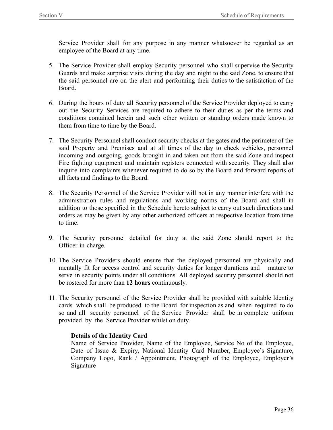Service Provider shall for any purpose in any manner whatsoever be regarded as an employee of the Board at any time.

- 5. The Service Provider shall employ Security personnel who shall supervise the Security Guards and make surprise visits during the day and night to the said Zone, to ensure that the said personnel are on the alert and performing their duties to the satisfaction of the Board.
- 6. During the hours of duty all Security personnel of the Service Provider deployed to carry out the Security Services are required to adhere to their duties as per the terms and conditions contained herein and such other written or standing orders made known to them from time to time by the Board.
- 7. The Security Personnel shall conduct security checks at the gates and the perimeter of the said Property and Premises and at all times of the day to check vehicles, personnel incoming and outgoing, goods brought in and taken out from the said Zone and inspect Fire fighting equipment and maintain registers connected with security. They shall also inquire into complaints whenever required to do so by the Board and forward reports of all facts and findings to the Board.
- 8. The Security Personnel of the Service Provider will not in any manner interfere with the administration rules and regulations and working norms of the Board and shall in addition to those specified in the Schedule hereto subject to carry out such directions and orders as may be given by any other authorized officers at respective location from time to time.
- 9. The Security personnel detailed for duty at the said Zone should report to the Officer-in-charge.
- 10. The Service Providers should ensure that the deployed personnel are physically and mentally fit for access control and security duties for longer durations and mature to serve in security points under all conditions. All deployed security personnel should not be rostered for more than **12 hours** continuously.
- 11. The Security personnel of the Service Provider shall be provided with suitable Identity cards which shall be produced to the Board for inspection as and when required to do so and all security personnel of the Service Provider shall be in complete uniform provided by the Service Provider whilst on duty.

### **Details of the Identity Card**

Name of Service Provider, Name of the Employee, Service No of the Employee, Date of Issue & Expiry, National Identity Card Number, Employee's Signature, Company Logo, Rank / Appointment, Photograph of the Employee, Employer's Signature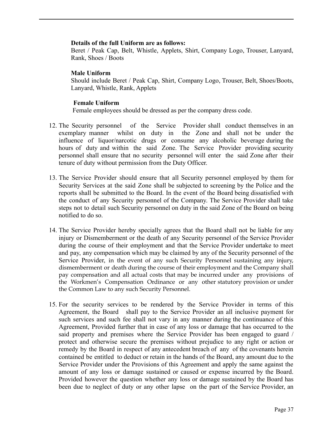#### **Details of the full Uniform are as follows:**

Beret / Peak Cap, Belt, Whistle, Applets, Shirt, Company Logo, Trouser, Lanyard, Rank, Shoes / Boots

### **Male Uniform**

Should include Beret / Peak Cap, Shirt, Company Logo, Trouser, Belt, Shoes/Boots, Lanyard, Whistle, Rank, Applets

### **Female Uniform**

Female employees should be dressed as per the company dress code.

- 12. The Security personnel of the Service Provider shall conduct themselves in an exemplary manner whilst on duty in the Zone and shall not be under the influence of liquor/narcotic drugs or consume any alcoholic beverage during the hours of duty and within the said Zone. The Service Provider providing security personnel shall ensure that no security personnel will enter the said Zone after their tenure of duty without permission from the Duty Officer.
- 13. The Service Provider should ensure that all Security personnel employed by them for Security Services at the said Zone shall be subjected to screening by the Police and the reports shall be submitted to the Board. In the event of the Board being dissatisfied with the conduct of any Security personnel of the Company. The Service Provider shall take steps not to detail such Security personnel on duty in the said Zone of the Board on being notified to do so.
- 14. The Service Provider hereby specially agrees that the Board shall not be liable for any injury or Dismemberment or the death of any Security personnel of the Service Provider during the course of their employment and that the Service Provider undertake to meet and pay, any compensation which may be claimed by any of the Security personnel of the Service Provider, in the event of any such Security Personnel sustaining any injury, dismemberment or death during the course of their employment and the Company shall pay compensation and all actual costs that may be incurred under any provisions of the Workmen's Compensation Ordinance or any other statutory provision or under the Common Law to any such Security Personnel.
- 15. For the security services to be rendered by the Service Provider in terms of this Agreement, the Board shall pay to the Service Provider an all inclusive payment for such services and such fee shall not vary in any manner during the continuance of this Agreement, Provided further that in case of any loss or damage that has occurred to the said property and premises where the Service Provider has been engaged to guard / protect and otherwise secure the premises without prejudice to any right or action or remedy by the Board in respect of any antecedent breach of any of the covenants herein contained be entitled to deduct or retain in the hands of the Board, any amount due to the Service Provider under the Provisions of this Agreement and apply the same against the amount of any loss or damage sustained or caused or expense incurred by the Board. Provided however the question whether any loss or damage sustained by the Board has been due to neglect of duty or any other lapse on the part of the Service Provider, an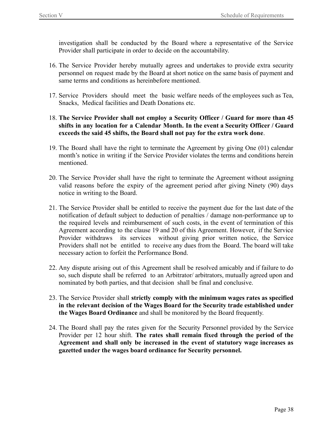investigation shall be conducted by the Board where a representative of the Service Provider shall participate in order to decide on the accountability.

- 16. The Service Provider hereby mutually agrees and undertakes to provide extra security personnel on request made by the Board at short notice on the same basis of payment and same terms and conditions as hereinbefore mentioned.
- 17. Service Providers should meet the basic welfare needs of the employees such as Tea, Snacks, Medical facilities and Death Donations etc.
- 18. **The Service Provider shall not employ a Security Officer / Guard for more than 45 shifts in any location for a Calendar Month. In the event a Security Officer / Guard exceeds the said 45 shifts, the Board shall not pay for the extra work done**.
- 19. The Board shall have the right to terminate the Agreement by giving One (01) calendar month's notice in writing if the Service Provider violates the terms and conditions herein mentioned.
- 20. The Service Provider shall have the right to terminate the Agreement without assigning valid reasons before the expiry of the agreement period after giving Ninety (90) days notice in writing to the Board.
- 21. The Service Provider shall be entitled to receive the payment due for the last date of the notification of default subject to deduction of penalties / damage non-performance up to the required levels and reimbursement of such costs, in the event of termination of this Agreement according to the clause 19 and 20 of this Agreement. However, if the Service Provider withdraws its services without giving prior written notice, the Service Providers shall not be entitled to receive any dues from the Board. The board will take necessary action to forfeit the Performance Bond.
- 22. Any dispute arising out of this Agreement shall be resolved amicably and if failure to do so, such dispute shall be referred to an Arbitrator/ arbitrators, mutually agreed upon and nominated by both parties, and that decision shall be final and conclusive.
- 23. The Service Provider shall **strictly comply with the minimum wages rates as specified in the relevant decision of the Wages Board for the Security trade established under the Wages Board Ordinance** and shall be monitored by the Board frequently.
- 24. The Board shall pay the rates given for the Security Personnel provided by the Service Provider per 12 hour shift. **The rates shall remain fixed through the period of the Agreement and shall only be increased in the event of statutory wage increases as gazetted under the wages board ordinance for Security personnel.**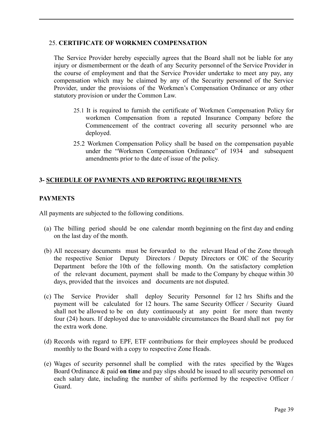### 25. **CERTIFICATE OF WORKMEN COMPENSATION**

The Service Provider hereby especially agrees that the Board shall not be liable for any injury or dismemberment or the death of any Security personnel of the Service Provider in the course of employment and that the Service Provider undertake to meet any pay, any compensation which may be claimed by any of the Security personnel of the Service Provider, under the provisions of the Workmen's Compensation Ordinance or any other statutory provision or under the Common Law.

- 25.1 It is required to furnish the certificate of Workmen Compensation Policy for workmen Compensation from a reputed Insurance Company before the Commencement of the contract covering all security personnel who are deployed.
- 25.2 Workmen Compensation Policy shall be based on the compensation payable under the "Workmen Compensation Ordinance" of 1934 and subsequent amendments prior to the date of issue of the policy.

### **3- SCHEDULE OF PAYMENTS AND REPORTING REQUIREMENTS**

### **PAYMENTS**

All payments are subjected to the following conditions.

- (a) The billing period should be one calendar month beginning on the first day and ending on the last day of the month.
- (b) All necessary documents must be forwarded to the relevant Head of the Zone through the respective Senior Deputy Directors / Deputy Directors or OIC of the Security Department before the 10th of the following month. On the satisfactory completion of the relevant document, payment shall be made to the Company by cheque within 30 days, provided that the invoices and documents are not disputed.
- (c) The Service Provider shall deploy Security Personnel for 12 hrs Shifts and the payment will be calculated for 12 hours. The same Security Officer / Security Guard shall not be allowed to be on duty continuously at any point for more than twenty four (24) hours. If deployed due to unavoidable circumstances the Board shall not pay for the extra work done.
- (d) Records with regard to EPF, ETF contributions for their employees should be produced monthly to the Board with a copy to respective Zone Heads.
- (e) Wages of security personnel shall be complied with the rates specified by the Wages Board Ordinance & paid **on time** and pay slips should be issued to all security personnel on each salary date, including the number of shifts performed by the respective Officer / Guard.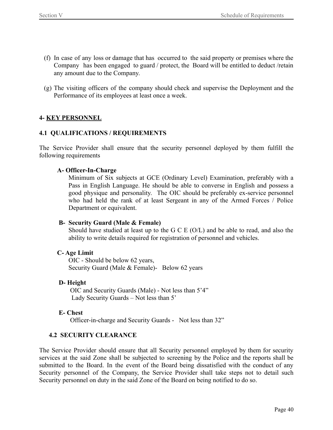- (f) In case of any loss or damage that has occurred to the said property or premises where the Company has been engaged to guard / protect, the Board will be entitled to deduct /retain any amount due to the Company.
- (g) The visiting officers of the company should check and supervise the Deployment and the Performance of its employees at least once a week.

### **4- KEY PERSONNEL**

### **4.1 QUALIFICATIONS / REQUIREMENTS**

The Service Provider shall ensure that the security personnel deployed by them fulfill the following requirements

### **A- Officer-In-Charge**

Minimum of Six subjects at GCE (Ordinary Level) Examination, preferably with a Pass in English Language. He should be able to converse in English and possess a good physique and personality. The OIC should be preferably ex-service personnel who had held the rank of at least Sergeant in any of the Armed Forces / Police Department or equivalent.

### **B- Security Guard (Male & Female)**

Should have studied at least up to the G C E (O/L) and be able to read, and also the ability to write details required for registration of personnel and vehicles.

### **C- Age Limit**

OIC - Should be below 62 years, Security Guard (Male & Female)- Below 62 years

### **D- Height**

OIC and Security Guards (Male) - Not less than 5'4" Lady Security Guards – Not less than 5'

### **E- Chest**

Officer-in-charge and Security Guards - Not less than 32"

### **4.2 SECURITY CLEARANCE**

The Service Provider should ensure that all Security personnel employed by them for security services at the said Zone shall be subjected to screening by the Police and the reports shall be submitted to the Board. In the event of the Board being dissatisfied with the conduct of any Security personnel of the Company, the Service Provider shall take steps not to detail such Security personnel on duty in the said Zone of the Board on being notified to do so.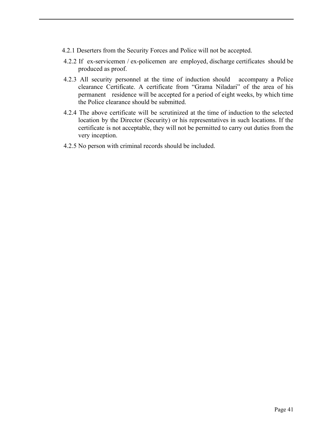- 4.2.1 Deserters from the Security Forces and Police will not be accepted.
- 4.2.2 If ex-servicemen / ex-policemen are employed, discharge certificates should be produced as proof.
- 4.2.3 All security personnel at the time of induction should accompany a Police clearance Certificate. A certificate from "Grama Niladari" of the area of his permanent residence will be accepted for a period of eight weeks, by which time the Police clearance should be submitted.
- 4.2.4 The above certificate will be scrutinized at the time of induction to the selected location by the Director (Security) or his representatives in such locations. If the certificate is not acceptable, they will not be permitted to carry out duties from the very inception.
- 4.2.5 No person with criminal records should be included.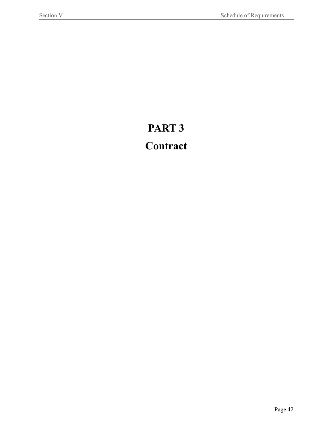# **PART 3**

# <span id="page-41-0"></span>**Contract**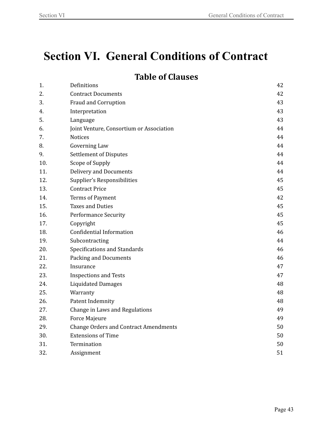# <span id="page-42-0"></span>**Section VI. General Conditions of Contract**

### **Table of Clauses**

| 1.  | Definitions                                  | 42 |
|-----|----------------------------------------------|----|
| 2.  | <b>Contract Documents</b>                    | 42 |
| 3.  | Fraud and Corruption                         | 43 |
| 4.  | Interpretation                               | 43 |
| 5.  | Language                                     | 43 |
| 6.  | Joint Venture, Consortium or Association     | 44 |
| 7.  | <b>Notices</b>                               | 44 |
| 8.  | Governing Law                                | 44 |
| 9.  | <b>Settlement of Disputes</b>                | 44 |
| 10. | Scope of Supply                              | 44 |
| 11. | <b>Delivery and Documents</b>                | 44 |
| 12. | Supplier's Responsibilities                  | 45 |
| 13. | <b>Contract Price</b>                        | 45 |
| 14. | Terms of Payment                             | 42 |
| 15. | <b>Taxes and Duties</b>                      | 45 |
| 16. | <b>Performance Security</b>                  | 45 |
| 17. | Copyright                                    | 45 |
| 18. | <b>Confidential Information</b>              | 46 |
| 19. | Subcontracting                               | 44 |
| 20. | Specifications and Standards                 | 46 |
| 21. | Packing and Documents                        | 46 |
| 22. | Insurance                                    | 47 |
| 23. | <b>Inspections and Tests</b>                 | 47 |
| 24. | <b>Liquidated Damages</b>                    | 48 |
| 25. | Warranty                                     | 48 |
| 26. | Patent Indemnity                             | 48 |
| 27. | Change in Laws and Regulations               | 49 |
| 28. | <b>Force Majeure</b>                         | 49 |
| 29. | <b>Change Orders and Contract Amendments</b> | 50 |
| 30. | <b>Extensions of Time</b>                    | 50 |
| 31. | Termination                                  | 50 |
| 32. | Assignment                                   | 51 |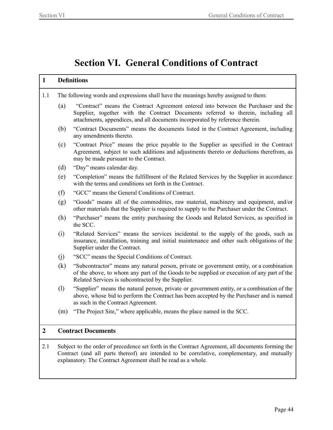### **Section VI. General Conditions of Contract**

### **1 Definitions**

- 1.1 The following words and expressions shall have the meanings hereby assigned to them:
	- (a) "Contract" means the Contract Agreement entered into between the Purchaser and the Supplier, together with the Contract Documents referred to therein, including all attachments, appendices, and all documents incorporated by reference therein.
	- (b) "Contract Documents" means the documents listed in the Contract Agreement, including any amendments thereto.
	- (c) "Contract Price" means the price payable to the Supplier as specified in the Contract Agreement, subject to such additions and adjustments thereto or deductions therefrom, as may be made pursuant to the Contract.
	- (d) "Day" means calendar day.
	- (e) "Completion" means the fulfillment of the Related Services by the Supplier in accordance with the terms and conditions set forth in the Contract.
	- (f) "GCC" means the General Conditions of Contract.
	- (g) "Goods" means all of the commodities, raw material, machinery and equipment, and/or other materials that the Supplier is required to supply to the Purchaser under the Contract.
	- (h) "Purchaser" means the entity purchasing the Goods and Related Services, as specified in the SCC.
	- (i) "Related Services" means the services incidental to the supply of the goods, such as insurance, installation, training and initial maintenance and other such obligations of the Supplier under the Contract.
	- (j) "SCC" means the Special Conditions of Contract.
	- (k) "Subcontractor" means any natural person, private or government entity, or a combination of the above, to whom any part of the Goods to be supplied or execution of any part of the Related Services is subcontracted by the Supplier.
	- (l) "Supplier" means the natural person, private or government entity, or a combination of the above, whose bid to perform the Contract has been accepted by the Purchaser and is named as such in the Contract Agreement.
	- (m) "The Project Site," where applicable, means the place named in the SCC.

### **2 Contract Documents**

2.1 Subject to the order of precedence set forth in the Contract Agreement, all documents forming the Contract (and all parts thereof) are intended to be correlative, complementary, and mutually explanatory. The Contract Agreement shall be read as a whole.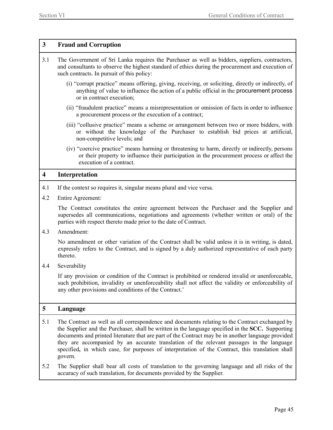### **3 Fraud and Corruption**

- 3.1 The Government of Sri Lanka requires the Purchaser as well as bidders, suppliers, contractors, and consultants to observe the highest standard of ethics during the procurement and execution of such contracts. In pursuit of this policy:
	- (i) "corrupt practice" means offering, giving, receiving, or soliciting, directly or indirectly, of anything of value to influence the action of a public official in the procurement process or in contract execution;
	- (ii) "fraudulent practice" means a misrepresentation or omission of facts in order to influence a procurement process or the execution of a contract;
	- (iii) "collusive practice" means a scheme or arrangement between two or more bidders, with or without the knowledge of the Purchaser to establish bid prices at artificial, non-competitive levels; and
	- (iv) "coercive practice" means harming or threatening to harm, directly or indirectly, persons or their property to influence their participation in the procurement process or affect the execution of a contract.

#### **4 Interpretation**

- 4.1 If the context so requires it, singular means plural and vice versa.
- 4.2 Entire Agreement:

The Contract constitutes the entire agreement between the Purchaser and the Supplier and supersedes all communications, negotiations and agreements (whether written or oral) of the parties with respect thereto made prior to the date of Contract.

4.3 Amendment:

No amendment or other variation of the Contract shall be valid unless it is in writing, is dated, expressly refers to the Contract, and is signed by a duly authorized representative of each party thereto.

4.4 Severability

If any provision or condition of the Contract is prohibited or rendered invalid or unenforceable, such prohibition, invalidity or unenforceability shall not affect the validity or enforceability of any other provisions and conditions of the Contract.'

### **5 Language**

- 5.1 The Contract as well as all correspondence and documents relating to the Contract exchanged by the Supplier and the Purchaser, shall be written in the language specified in the **SCC.** Supporting documents and printed literature that are part of the Contract may be in another language provided they are accompanied by an accurate translation of the relevant passages in the language specified**,** in which case, for purposes of interpretation of the Contract, this translation shall govern.
- 5.2 The Supplier shall bear all costs of translation to the governing language and all risks of the accuracy of such translation, for documents provided by the Supplier.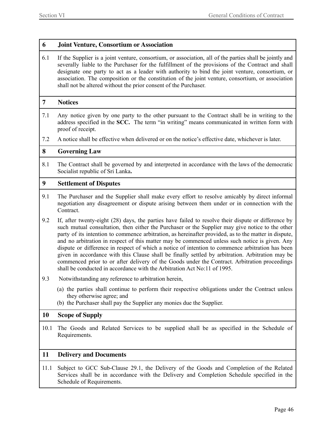### **6 Joint Venture, Consortium or Association**

6.1 If the Supplier is a joint venture, consortium, or association, all of the parties shall be jointly and severally liable to the Purchaser for the fulfillment of the provisions of the Contract and shall designate one party to act as a leader with authority to bind the joint venture, consortium, or association. The composition or the constitution of the joint venture, consortium, or association shall not be altered without the prior consent of the Purchaser.

#### **7 Notices**

- 7.1 Any notice given by one party to the other pursuant to the Contract shall be in writing to the address specified in the **SCC.** The term "in writing" means communicated in written form with proof of receipt.
- 7.2 A notice shall be effective when delivered or on the notice's effective date, whichever is later.

#### **8 Governing Law**

8.1 The Contract shall be governed by and interpreted in accordance with the laws of the democratic Socialist republic of Sri Lanka**.**

### **9 Settlement of Disputes**

- 9.1 The Purchaser and the Supplier shall make every effort to resolve amicably by direct informal negotiation any disagreement or dispute arising between them under or in connection with the Contract.
- 9.2 If, after twenty-eight (28) days, the parties have failed to resolve their dispute or difference by such mutual consultation, then either the Purchaser or the Supplier may give notice to the other party of its intention to commence arbitration, as hereinafter provided, as to the matter in dispute, and no arbitration in respect of this matter may be commenced unless such notice is given. Any dispute or difference in respect of which a notice of intention to commence arbitration has been given in accordance with this Clause shall be finally settled by arbitration. Arbitration may be commenced prior to or after delivery of the Goods under the Contract. Arbitration proceedings shall be conducted in accordance with the Arbitration Act No:11 of 1995.
- 9.3 Notwithstanding any reference to arbitration herein,
	- (a) the parties shall continue to perform their respective obligations under the Contract unless they otherwise agree; and
	- (b) the Purchaser shall pay the Supplier any monies due the Supplier.

### **10 Scope of Supply**

10.1 The Goods and Related Services to be supplied shall be as specified in the Schedule of Requirements.

#### **11 Delivery and Documents**

11.1 Subject to GCC Sub-Clause 29.1, the Delivery of the Goods and Completion of the Related Services shall be in accordance with the Delivery and Completion Schedule specified in the Schedule of Requirements.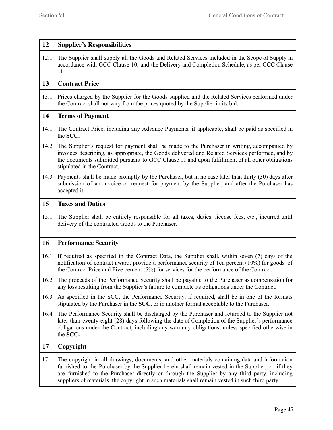### **12 Supplier's Responsibilities**

12.1 The Supplier shall supply all the Goods and Related Services included in the Scope of Supply in accordance with GCC Clause 10, and the Delivery and Completion Schedule, as per GCC Clause 11.

### **13 Contract Price**

13.1 Prices charged by the Supplier for the Goods supplied and the Related Services performed under the Contract shall not vary from the prices quoted by the Supplier in its bid**.**

### **14 Terms of Payment**

- 14.1 The Contract Price, including any Advance Payments, if applicable, shall be paid as specified in the **SCC.**
- 14.2 The Supplier's request for payment shall be made to the Purchaser in writing, accompanied by invoices describing, as appropriate, the Goods delivered and Related Services performed, and by the documents submitted pursuant to GCC Clause 11 and upon fulfillment of all other obligations stipulated in the Contract.
- 14.3 Payments shall be made promptly by the Purchaser, but in no case later than thirty (30) days after submission of an invoice or request for payment by the Supplier, and after the Purchaser has accepted it.

#### **15 Taxes and Duties**

15.1 The Supplier shall be entirely responsible for all taxes, duties, license fees, etc., incurred until delivery of the contracted Goods to the Purchaser.

### **16 Performance Security**

- 16.1 If required as specified in the Contract Data, the Supplier shall, within seven (7) days of the notification of contract award, provide a performance security of Ten percent (10%) for goods of the Contract Price and Five percent (5%) for services for the performance of the Contract.
- 16.2 The proceeds of the Performance Security shall be payable to the Purchaser as compensation for any loss resulting from the Supplier's failure to complete its obligations under the Contract.
- 16.3 As specified in the SCC, the Performance Security, if required, shall be in one of the formats stipulated by the Purchaser in the **SCC,** or in another format acceptable to the Purchaser.
- 16.4 The Performance Security shall be discharged by the Purchaser and returned to the Supplier not later than twenty-eight (28) days following the date of Completion of the Supplier's performance obligations under the Contract, including any warranty obligations, unless specified otherwise in the **SCC.**

### **17 Copyright**

17.1 The copyright in all drawings, documents, and other materials containing data and information furnished to the Purchaser by the Supplier herein shall remain vested in the Supplier, or, if they are furnished to the Purchaser directly or through the Supplier by any third party, including suppliers of materials, the copyright in such materials shall remain vested in such third party.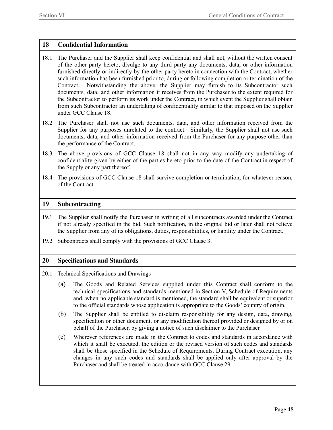### **18 Confidential Information**

- 18.1 The Purchaser and the Supplier shall keep confidential and shall not, without the written consent of the other party hereto, divulge to any third party any documents, data, or other information furnished directly or indirectly by the other party hereto in connection with the Contract, whether such information has been furnished prior to, during or following completion or termination of the Contract. Notwithstanding the above, the Supplier may furnish to its Subcontractor such documents, data, and other information it receives from the Purchaser to the extent required for the Subcontractor to perform its work under the Contract, in which event the Supplier shall obtain from such Subcontractor an undertaking of confidentiality similar to that imposed on the Supplier under GCC Clause 18.
- 18.2 The Purchaser shall not use such documents, data, and other information received from the Supplier for any purposes unrelated to the contract. Similarly, the Supplier shall not use such documents, data, and other information received from the Purchaser for any purpose other than the performance of the Contract.
- 18.3 The above provisions of GCC Clause 18 shall not in any way modify any undertaking of confidentiality given by either of the parties hereto prior to the date of the Contract in respect of the Supply or any part thereof.
- 18.4 The provisions of GCC Clause 18 shall survive completion or termination, for whatever reason, of the Contract.

#### **19 Subcontracting**

- 19.1 The Supplier shall notify the Purchaser in writing of all subcontracts awarded under the Contract if not already specified in the bid. Such notification, in the original bid or later shall not relieve the Supplier from any of its obligations, duties, responsibilities, or liability under the Contract.
- 19.2 Subcontracts shall comply with the provisions of GCC Clause 3.

### **20 Specifications and Standards**

- 20.1 Technical Specifications and Drawings
	- (a) The Goods and Related Services supplied under this Contract shall conform to the technical specifications and standards mentioned in Section V, Schedule of Requirements and, when no applicable standard is mentioned, the standard shall be equivalent or superior to the official standards whose application is appropriate to the Goods' country of origin.
	- (b) The Supplier shall be entitled to disclaim responsibility for any design, data, drawing, specification or other document, or any modification thereof provided or designed by or on behalf of the Purchaser, by giving a notice of such disclaimer to the Purchaser.
	- (c) Wherever references are made in the Contract to codes and standards in accordance with which it shall be executed, the edition or the revised version of such codes and standards shall be those specified in the Schedule of Requirements. During Contract execution, any changes in any such codes and standards shall be applied only after approval by the Purchaser and shall be treated in accordance with GCC Clause 29.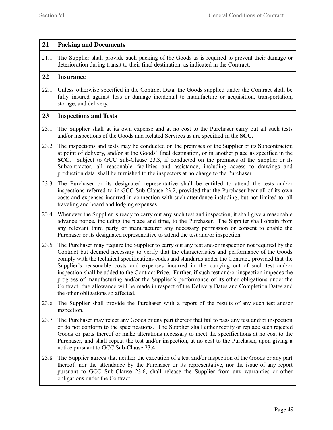### **21 Packing and Documents**

21.1 The Supplier shall provide such packing of the Goods as is required to prevent their damage or deterioration during transit to their final destination, as indicated in the Contract.

#### **22 Insurance**

22.1 Unless otherwise specified in the Contract Data, the Goods supplied under the Contract shall be fully insured against loss or damage incidental to manufacture or acquisition, transportation, storage, and delivery.

### **23 Inspections and Tests**

- 23.1 The Supplier shall at its own expense and at no cost to the Purchaser carry out all such tests and/or inspections of the Goods and Related Services as are specified in the **SCC.**
- 23.2 The inspections and tests may be conducted on the premises of the Supplier or its Subcontractor, at point of delivery, and/or at the Goods' final destination, or in another place as specified in the **SCC.** Subject to GCC Sub-Clause 23.3, if conducted on the premises of the Supplier or its Subcontractor, all reasonable facilities and assistance, including access to drawings and production data, shall be furnished to the inspectors at no charge to the Purchaser.
- 23.3 The Purchaser or its designated representative shall be entitled to attend the tests and/or inspections referred to in GCC Sub-Clause 23.2, provided that the Purchaser bear all of its own costs and expenses incurred in connection with such attendance including, but not limited to, all traveling and board and lodging expenses.
- 23.4 Whenever the Supplier is ready to carry out any such test and inspection, it shall give a reasonable advance notice, including the place and time, to the Purchaser. The Supplier shall obtain from any relevant third party or manufacturer any necessary permission or consent to enable the Purchaser or its designated representative to attend the test and/or inspection.
- 23.5 The Purchaser may require the Supplier to carry out any test and/or inspection not required by the Contract but deemed necessary to verify that the characteristics and performance of the Goods comply with the technical specifications codes and standards under the Contract, provided that the Supplier's reasonable costs and expenses incurred in the carrying out of such test and/or inspection shall be added to the Contract Price. Further, if such test and/or inspection impedes the progress of manufacturing and/or the Supplier's performance of its other obligations under the Contract, due allowance will be made in respect of the Delivery Dates and Completion Dates and the other obligations so affected.
- 23.6 The Supplier shall provide the Purchaser with a report of the results of any such test and/or inspection.
- 23.7 The Purchaser may reject any Goods or any part thereof that fail to pass any test and/or inspection or do not conform to the specifications. The Supplier shall either rectify or replace such rejected Goods or parts thereof or make alterations necessary to meet the specifications at no cost to the Purchaser, and shall repeat the test and/or inspection, at no cost to the Purchaser, upon giving a notice pursuant to GCC Sub-Clause 23.4.
- 23.8 The Supplier agrees that neither the execution of a test and/or inspection of the Goods or any part thereof, nor the attendance by the Purchaser or its representative, nor the issue of any report pursuant to GCC Sub-Clause 23.6, shall release the Supplier from any warranties or other obligations under the Contract.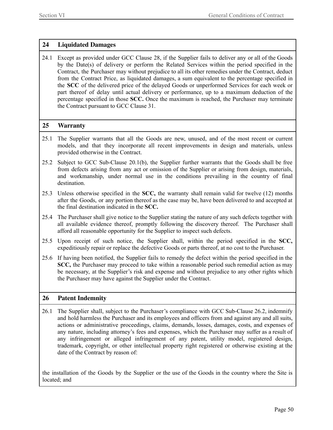### **24 Liquidated Damages**

24.1 Except as provided under GCC Clause 28, if the Supplier fails to deliver any or all of the Goods by the Date(s) of delivery or perform the Related Services within the period specified in the Contract, the Purchaser may without prejudice to all its other remedies under the Contract, deduct from the Contract Price, as liquidated damages, a sum equivalent to the percentage specified in the **SCC** of the delivered price of the delayed Goods or unperformed Services for each week or part thereof of delay until actual delivery or performance, up to a maximum deduction of the percentage specified in those **SCC.** Once the maximum is reached, the Purchaser may terminate the Contract pursuant to GCC Clause 31.

### **25 Warranty**

- 25.1 The Supplier warrants that all the Goods are new, unused, and of the most recent or current models, and that they incorporate all recent improvements in design and materials, unless provided otherwise in the Contract.
- 25.2 Subject to GCC Sub-Clause 20.1(b), the Supplier further warrants that the Goods shall be free from defects arising from any act or omission of the Supplier or arising from design, materials, and workmanship, under normal use in the conditions prevailing in the country of final destination.
- 25.3 Unless otherwise specified in the **SCC,** the warranty shall remain valid for twelve (12) months after the Goods, or any portion thereof as the case may be, have been delivered to and accepted at the final destination indicated in the **SCC.**
- 25.4 The Purchaser shall give notice to the Supplier stating the nature of any such defects together with all available evidence thereof, promptly following the discovery thereof. The Purchaser shall afford all reasonable opportunity for the Supplier to inspect such defects.
- 25.5 Upon receipt of such notice, the Supplier shall, within the period specified in the **SCC,** expeditiously repair or replace the defective Goods or parts thereof, at no cost to the Purchaser.
- 25.6 If having been notified, the Supplier fails to remedy the defect within the period specified in the **SCC,** the Purchaser may proceed to take within a reasonable period such remedial action as may be necessary, at the Supplier's risk and expense and without prejudice to any other rights which the Purchaser may have against the Supplier under the Contract.

### **26 Patent Indemnity**

26.1 The Supplier shall, subject to the Purchaser's compliance with GCC Sub-Clause 26.2, indemnify and hold harmless the Purchaser and its employees and officers from and against any and all suits, actions or administrative proceedings, claims, demands, losses, damages, costs, and expenses of any nature, including attorney's fees and expenses, which the Purchaser may suffer as a result of any infringement or alleged infringement of any patent, utility model, registered design, trademark, copyright, or other intellectual property right registered or otherwise existing at the date of the Contract by reason of:

the installation of the Goods by the Supplier or the use of the Goods in the country where the Site is located; and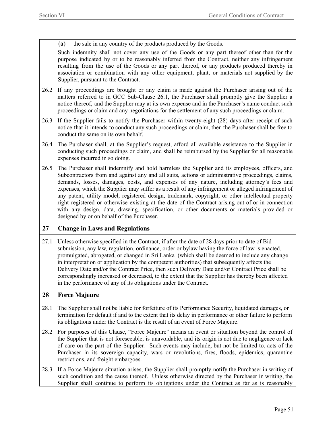(a) the sale in any country of the products produced by the Goods.

Such indemnity shall not cover any use of the Goods or any part thereof other than for the purpose indicated by or to be reasonably inferred from the Contract, neither any infringement resulting from the use of the Goods or any part thereof, or any products produced thereby in association or combination with any other equipment, plant, or materials not supplied by the Supplier, pursuant to the Contract.

- 26.2 If any proceedings are brought or any claim is made against the Purchaser arising out of the matters referred to in GCC Sub-Clause 26.1, the Purchaser shall promptly give the Supplier a notice thereof, and the Supplier may at its own expense and in the Purchaser's name conduct such proceedings or claim and any negotiations for the settlement of any such proceedings or claim.
- 26.3 If the Supplier fails to notify the Purchaser within twenty-eight (28) days after receipt of such notice that it intends to conduct any such proceedings or claim, then the Purchaser shall be free to conduct the same on its own behalf.
- 26.4 The Purchaser shall, at the Supplier's request, afford all available assistance to the Supplier in conducting such proceedings or claim, and shall be reimbursed by the Supplier for all reasonable expenses incurred in so doing.
- 26.5 The Purchaser shall indemnify and hold harmless the Supplier and its employees, officers, and Subcontractors from and against any and all suits, actions or administrative proceedings, claims, demands, losses, damages, costs, and expenses of any nature, including attorney's fees and expenses, which the Supplier may suffer as a result of any infringement or alleged infringement of any patent, utility model, registered design, trademark, copyright, or other intellectual property right registered or otherwise existing at the date of the Contract arising out of or in connection with any design, data, drawing, specification, or other documents or materials provided or designed by or on behalf of the Purchaser.

### **27 Change in Laws and Regulations**

27.1 Unless otherwise specified in the Contract, if after the date of 28 days prior to date of Bid submission, any law, regulation, ordinance, order or bylaw having the force of law is enacted, promulgated, abrogated, or changed in Sri Lanka (which shall be deemed to include any change in interpretation or application by the competent authorities) that subsequently affects the Delivery Date and/or the Contract Price, then such Delivery Date and/or Contract Price shall be correspondingly increased or decreased, to the extent that the Supplier has thereby been affected in the performance of any of its obligations under the Contract.

### **28 Force Majeure**

- 28.1 The Supplier shall not be liable for forfeiture of its Performance Security, liquidated damages, or termination for default if and to the extent that its delay in performance or other failure to perform its obligations under the Contract is the result of an event of Force Majeure.
- 28.2 For purposes of this Clause, "Force Majeure" means an event or situation beyond the control of the Supplier that is not foreseeable, is unavoidable, and its origin is not due to negligence or lack of care on the part of the Supplier. Such events may include, but not be limited to, acts of the Purchaser in its sovereign capacity, wars or revolutions, fires, floods, epidemics, quarantine restrictions, and freight embargoes.
- 28.3 If a Force Majeure situation arises, the Supplier shall promptly notify the Purchaser in writing of such condition and the cause thereof. Unless otherwise directed by the Purchaser in writing, the Supplier shall continue to perform its obligations under the Contract as far as is reasonably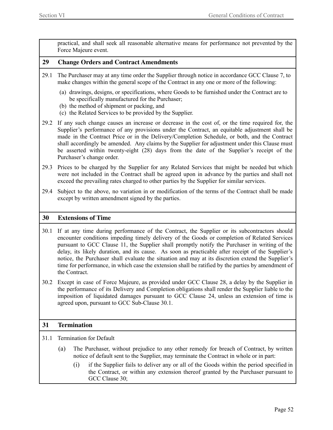practical, and shall seek all reasonable alternative means for performance not prevented by the Force Majeure event.

#### **29 Change Orders and Contract Amendments**

- 29.1 The Purchaser may at any time order the Supplier through notice in accordance GCC Clause 7, to make changes within the general scope of the Contract in any one or more of the following:
	- (a) drawings, designs, or specifications, where Goods to be furnished under the Contract are to be specifically manufactured for the Purchaser;
	- (b) the method of shipment or packing, and
	- (c) the Related Services to be provided by the Supplier.

29.2 If any such change causes an increase or decrease in the cost of, or the time required for, the Supplier's performance of any provisions under the Contract, an equitable adjustment shall be made in the Contract Price or in the Delivery/Completion Schedule, or both, and the Contract shall accordingly be amended. Any claims by the Supplier for adjustment under this Clause must be asserted within twenty-eight (28) days from the date of the Supplier's receipt of the Purchaser's change order.

- 29.3 Prices to be charged by the Supplier for any Related Services that might be needed but which were not included in the Contract shall be agreed upon in advance by the parties and shall not exceed the prevailing rates charged to other parties by the Supplier for similar services.
- 29.4 Subject to the above, no variation in or modification of the terms of the Contract shall be made except by written amendment signed by the parties.

#### **30 Extensions of Time**

- 30.1 If at any time during performance of the Contract, the Supplier or its subcontractors should encounter conditions impeding timely delivery of the Goods or completion of Related Services pursuant to GCC Clause 11, the Supplier shall promptly notify the Purchaser in writing of the delay, its likely duration, and its cause. As soon as practicable after receipt of the Supplier's notice, the Purchaser shall evaluate the situation and may at its discretion extend the Supplier's time for performance, in which case the extension shall be ratified by the parties by amendment of the Contract.
- 30.2 Except in case of Force Majeure, as provided under GCC Clause 28, a delay by the Supplier in the performance of its Delivery and Completion obligations shall render the Supplier liable to the imposition of liquidated damages pursuant to GCC Clause 24, unless an extension of time is agreed upon, pursuant to GCC Sub-Clause 30.1.

### **31 Termination**

- 31.1 Termination for Default
	- (a) The Purchaser, without prejudice to any other remedy for breach of Contract, by written notice of default sent to the Supplier, may terminate the Contract in whole or in part:
		- (i) if the Supplier fails to deliver any or all of the Goods within the period specified in the Contract, or within any extension thereof granted by the Purchaser pursuant to GCC Clause 30;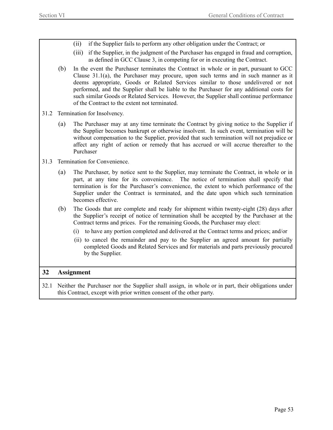- (ii) if the Supplier fails to perform any other obligation under the Contract; or
- (iii) if the Supplier, in the judgment of the Purchaser has engaged in fraud and corruption, as defined in GCC Clause 3, in competing for or in executing the Contract.
- (b) In the event the Purchaser terminates the Contract in whole or in part, pursuant to GCC Clause  $31.1(a)$ , the Purchaser may procure, upon such terms and in such manner as it deems appropriate, Goods or Related Services similar to those undelivered or not performed, and the Supplier shall be liable to the Purchaser for any additional costs for such similar Goods or Related Services. However, the Supplier shall continue performance of the Contract to the extent not terminated.
- 31.2 Termination for Insolvency.
	- (a) The Purchaser may at any time terminate the Contract by giving notice to the Supplier if the Supplier becomes bankrupt or otherwise insolvent. In such event, termination will be without compensation to the Supplier, provided that such termination will not prejudice or affect any right of action or remedy that has accrued or will accrue thereafter to the Purchaser
- 31.3 Termination for Convenience.
	- (a) The Purchaser, by notice sent to the Supplier, may terminate the Contract, in whole or in part, at any time for its convenience. The notice of termination shall specify that termination is for the Purchaser's convenience, the extent to which performance of the Supplier under the Contract is terminated, and the date upon which such termination becomes effective.
	- (b) The Goods that are complete and ready for shipment within twenty-eight (28) days after the Supplier's receipt of notice of termination shall be accepted by the Purchaser at the Contract terms and prices. For the remaining Goods, the Purchaser may elect:
		- (i) to have any portion completed and delivered at the Contract terms and prices; and/or
		- (ii) to cancel the remainder and pay to the Supplier an agreed amount for partially completed Goods and Related Services and for materials and parts previously procured by the Supplier.

### **32 Assignment**

32.1 Neither the Purchaser nor the Supplier shall assign, in whole or in part, their obligations under this Contract, except with prior written consent of the other party.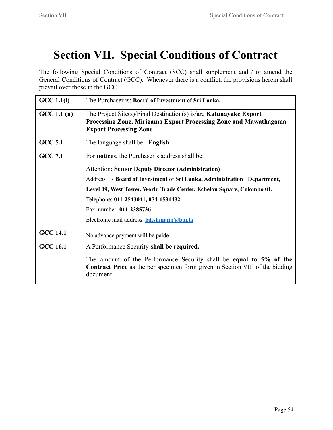# <span id="page-53-0"></span>**Section VII. Special Conditions of Contract**

The following Special Conditions of Contract (SCC) shall supplement and / or amend the General Conditions of Contract (GCC). Whenever there is a conflict, the provisions herein shall prevail over those in the GCC*.*

| GCC 1.1(i)      | The Purchaser is: Board of Investment of Sri Lanka.                                                                                                                           |
|-----------------|-------------------------------------------------------------------------------------------------------------------------------------------------------------------------------|
| GCC 1.1(n)      | The Project Site(s)/Final Destination(s) is/are <b>Katunayake Export</b><br>Processing Zone, Mirigama Export Processing Zone and Mawathagama<br><b>Export Processing Zone</b> |
| <b>GCC 5.1</b>  | The language shall be: English                                                                                                                                                |
| <b>GCC 7.1</b>  | For <b>notices</b> , the Purchaser's address shall be:                                                                                                                        |
|                 | <b>Attention: Senior Deputy Director (Administration)</b>                                                                                                                     |
|                 | Address - Board of Investment of Sri Lanka, Administration Department,                                                                                                        |
|                 | Level 09, West Tower, World Trade Center, Echelon Square, Colombo 01.                                                                                                         |
|                 | Telephone: 011-2543041, 074-1531432                                                                                                                                           |
|                 | Fax number: 011-2385736                                                                                                                                                       |
|                 | Electronic mail address: lakshmanp@boi.lk                                                                                                                                     |
| <b>GCC 14.1</b> | No advance payment will be paide                                                                                                                                              |
| <b>GCC 16.1</b> | A Performance Security shall be required.                                                                                                                                     |
|                 | The amount of the Performance Security shall be equal to 5% of the<br><b>Contract Price</b> as the per specimen form given in Section VIII of the bidding<br>document         |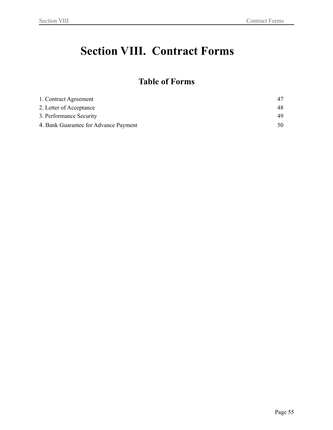# <span id="page-54-0"></span>**Section VIII. Contract Forms**

### **Table of Forms**

<span id="page-54-1"></span>

| 1. Contract Agreement                 |     |
|---------------------------------------|-----|
| 2. Letter of Acceptance               | 48  |
| 3. Performance Security               | 49  |
| 4. Bank Guarantee for Advance Payment | 50. |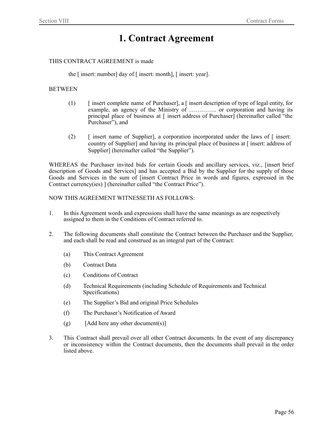### **1. Contract Agreement**

#### THIS CONTRACT AGREEMENT is made

the [ insert: number] day of [ insert: month], [ insert: year].

#### BETWEEN

- (1) [ insert complete name of Purchaser], a [ insert description of type of legal entity, for example, an agency of the Ministry of ………….. or corporation and having its principal place of business at [ insert address of Purchaser] (hereinafter called "the Purchaser<sup>5</sup>, and
- $(2)$  [ insert name of Supplier], a corporation incorporated under the laws of  $\lceil$  insert: country of Supplier] and having its principal place of business at [ insert: address of Supplier] (hereinafter called "the Supplier").

WHEREAS the Purchaser invited bids for certain Goods and ancillary services, viz., [insert brief description of Goods and Services] and has accepted a Bid by the Supplier for the supply of those Goods and Services in the sum of [insert Contract Price in words and figures, expressed in the Contract currency(ies) ] (hereinafter called "the Contract Price").

#### NOW THIS AGREEMENT WITNESSETH AS FOLLOWS:

- 1. In this Agreement words and expressions shall have the same meanings as are respectively assigned to them in the Conditions of Contract referred to.
- 2. The following documents shall constitute the Contract between the Purchaser and the Supplier, and each shall be read and construed as an integral part of the Contract:
	- (a) This Contract Agreement
	- (b) Contract Data
	- (c) Conditions of Contract
	- (d) Technical Requirements (including Schedule of Requirements and Technical Specifications)
	- (e) The Supplier's Bid and original Price Schedules
	- (f) The Purchaser's Notification of Award
	- $(g)$  [Add here any other document(s)]
- 3. This Contract shall prevail over all other Contract documents. In the event of any discrepancy or inconsistency within the Contract documents, then the documents shall prevail in the order listed above.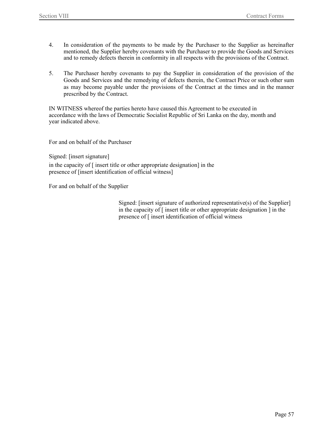- 4. In consideration of the payments to be made by the Purchaser to the Supplier as hereinafter mentioned, the Supplier hereby covenants with the Purchaser to provide the Goods and Services and to remedy defects therein in conformity in all respects with the provisions of the Contract.
- 5. The Purchaser hereby covenants to pay the Supplier in consideration of the provision of the Goods and Services and the remedying of defects therein, the Contract Price or such other sum as may become payable under the provisions of the Contract at the times and in the manner prescribed by the Contract.

IN WITNESS whereof the parties hereto have caused this Agreement to be executed in accordance with the laws of Democratic Socialist Republic of Sri Lanka on the day, month and year indicated above.

For and on behalf of the Purchaser

Signed: [insert signature]

in the capacity of [ insert title or other appropriate designation] in the presence of [insert identification of official witness]

For and on behalf of the Supplier

Signed: [insert signature of authorized representative(s) of the Supplier] in the capacity of [ insert title or other appropriate designation ] in the presence of [ insert identification of official witness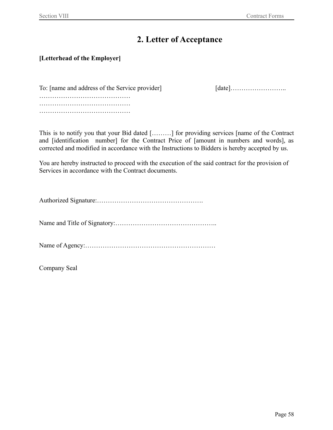### **2. Letter of Acceptance**

### **[Letterhead of the Employer]**

To: [name and address of the Service provider] [date]……………………………………………………………………… …………………………………… …………………………………… ……………………………………

This is to notify you that your Bid dated [………] for providing services [name of the Contract and [identification number] for the Contract Price of [amount in numbers and words], as corrected and modified in accordance with the Instructions to Bidders is hereby accepted by us.

You are hereby instructed to proceed with the execution of the said contract for the provision of Services in accordance with the Contract documents.

Authorized Signature:………………………………………….

Name and Title of Signatory:………………………………………..

Name of Agency:……………………………………………………

Company Seal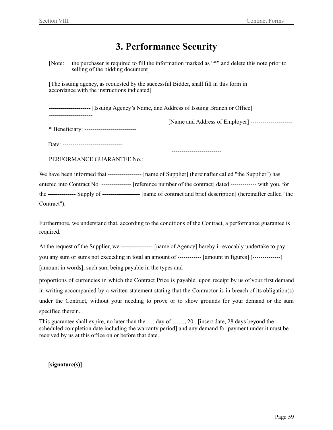### **3. Performance Security**

[Note: the purchaser is required to fill the information marked as "\*" and delete this note prior to selling of the bidding document]

[The issuing agency, as requested by the successful Bidder, shall fill in this form in accordance with the instructions indicated]

--------------------- [Issuing Agency's Name, and Address of Issuing Branch or Office]

----------------------

[Name and Address of Employer] ---------------------

\* Beneficiary: --------------------------

Date: ---------------------------------

PERFORMANCE GUARANTEE No.:

We have been informed that ----------------- [name of Supplier] (hereinafter called "the Supplier") has entered into Contract No. --------------- [reference number of the contract] dated ------------- with you, for the -------------- Supply of ------------------- [name of contract and brief description] (hereinafter called "the Contract").

-------------------------

Furthermore, we understand that, according to the conditions of the Contract, a performance guarantee is required.

At the request of the Supplier, we ---------------- [name of Agency] hereby irrevocably undertake to pay you any sum or sums not exceeding in total an amount of ------------ [amount in figures] (--------------) [amount in words], such sum being payable in the types and

proportions of currencies in which the Contract Price is payable, upon receipt by us of your first demand in writing accompanied by a written statement stating that the Contractor is in breach of its obligation(s) under the Contract, without your needing to prove or to show grounds for your demand or the sum specified therein.

This guarantee shall expire, no later than the …. day of ……, 20.. [insert date, 28 days beyond the scheduled completion date including the warranty period] and any demand for payment under it must be received by us at this office on or before that date.

**[signature(s)]**

 $\mathcal{L}_\text{max}$